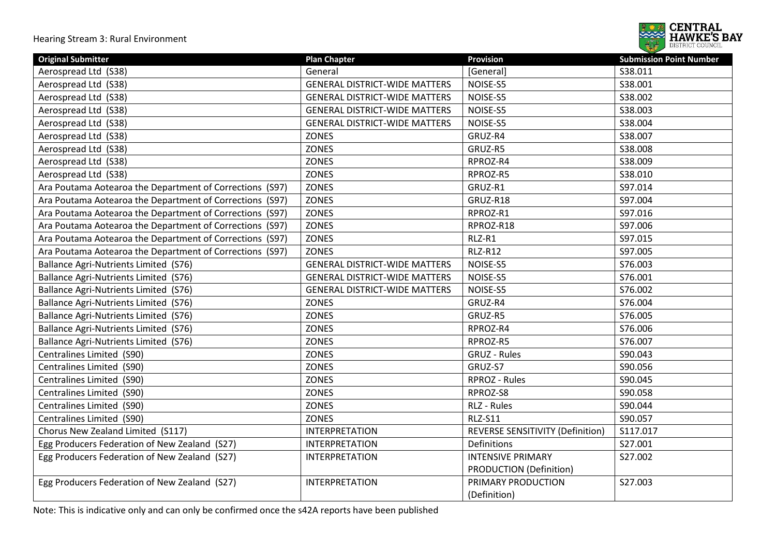

| <b>Original Submitter</b>                                | <b>Plan Chapter</b>                  | <b>Provision</b>                 | <b>Submission Point Number</b> |
|----------------------------------------------------------|--------------------------------------|----------------------------------|--------------------------------|
| Aerospread Ltd (S38)                                     | General                              | [General]                        | S38.011                        |
| Aerospread Ltd (S38)                                     | <b>GENERAL DISTRICT-WIDE MATTERS</b> | NOISE-S5                         | S38.001                        |
| Aerospread Ltd (S38)                                     | <b>GENERAL DISTRICT-WIDE MATTERS</b> | NOISE-S5                         | S38.002                        |
| Aerospread Ltd (S38)                                     | <b>GENERAL DISTRICT-WIDE MATTERS</b> | NOISE-S5                         | S38.003                        |
| Aerospread Ltd (S38)                                     | <b>GENERAL DISTRICT-WIDE MATTERS</b> | NOISE-S5                         | S38.004                        |
| Aerospread Ltd (S38)                                     | <b>ZONES</b>                         | GRUZ-R4                          | S38.007                        |
| Aerospread Ltd (S38)                                     | <b>ZONES</b>                         | GRUZ-R5                          | S38.008                        |
| Aerospread Ltd (S38)                                     | ZONES                                | RPROZ-R4                         | S38.009                        |
| Aerospread Ltd (S38)                                     | ZONES                                | RPROZ-R5                         | S38.010                        |
| Ara Poutama Aotearoa the Department of Corrections (S97) | <b>ZONES</b>                         | GRUZ-R1                          | S97.014                        |
| Ara Poutama Aotearoa the Department of Corrections (S97) | <b>ZONES</b>                         | GRUZ-R18                         | S97.004                        |
| Ara Poutama Aotearoa the Department of Corrections (S97) | ZONES                                | RPROZ-R1                         | S97.016                        |
| Ara Poutama Aotearoa the Department of Corrections (S97) | <b>ZONES</b>                         | RPROZ-R18                        | S97.006                        |
| Ara Poutama Aotearoa the Department of Corrections (S97) | <b>ZONES</b>                         | RLZ-R1                           | S97.015                        |
| Ara Poutama Aotearoa the Department of Corrections (S97) | ZONES                                | <b>RLZ-R12</b>                   | S97.005                        |
| Ballance Agri-Nutrients Limited (S76)                    | <b>GENERAL DISTRICT-WIDE MATTERS</b> | NOISE-S5                         | S76.003                        |
| Ballance Agri-Nutrients Limited (S76)                    | <b>GENERAL DISTRICT-WIDE MATTERS</b> | NOISE-S5                         | S76.001                        |
| Ballance Agri-Nutrients Limited (S76)                    | <b>GENERAL DISTRICT-WIDE MATTERS</b> | NOISE-S5                         | S76.002                        |
| Ballance Agri-Nutrients Limited (S76)                    | <b>ZONES</b>                         | GRUZ-R4                          | S76.004                        |
| Ballance Agri-Nutrients Limited (S76)                    | <b>ZONES</b>                         | GRUZ-R5                          | S76.005                        |
| Ballance Agri-Nutrients Limited (S76)                    | <b>ZONES</b>                         | RPROZ-R4                         | S76.006                        |
| Ballance Agri-Nutrients Limited (S76)                    | <b>ZONES</b>                         | RPROZ-R5                         | S76.007                        |
| Centralines Limited (S90)                                | <b>ZONES</b>                         | <b>GRUZ - Rules</b>              | S90.043                        |
| Centralines Limited (S90)                                | <b>ZONES</b>                         | GRUZ-S7                          | S90.056                        |
| Centralines Limited (S90)                                | <b>ZONES</b>                         | <b>RPROZ - Rules</b>             | S90.045                        |
| Centralines Limited (S90)                                | <b>ZONES</b>                         | RPROZ-S8                         | S90.058                        |
| Centralines Limited (S90)                                | <b>ZONES</b>                         | RLZ - Rules                      | S90.044                        |
| Centralines Limited (S90)                                | <b>ZONES</b>                         | <b>RLZ-S11</b>                   | S90.057                        |
| Chorus New Zealand Limited (S117)                        | <b>INTERPRETATION</b>                | REVERSE SENSITIVITY (Definition) | S117.017                       |
| Egg Producers Federation of New Zealand (S27)            | <b>INTERPRETATION</b>                | Definitions                      | S27.001                        |
| Egg Producers Federation of New Zealand (S27)            | <b>INTERPRETATION</b>                | <b>INTENSIVE PRIMARY</b>         | S27.002                        |
|                                                          |                                      | PRODUCTION (Definition)          |                                |
| Egg Producers Federation of New Zealand (S27)            | <b>INTERPRETATION</b>                | PRIMARY PRODUCTION               | S27.003                        |
|                                                          |                                      | (Definition)                     |                                |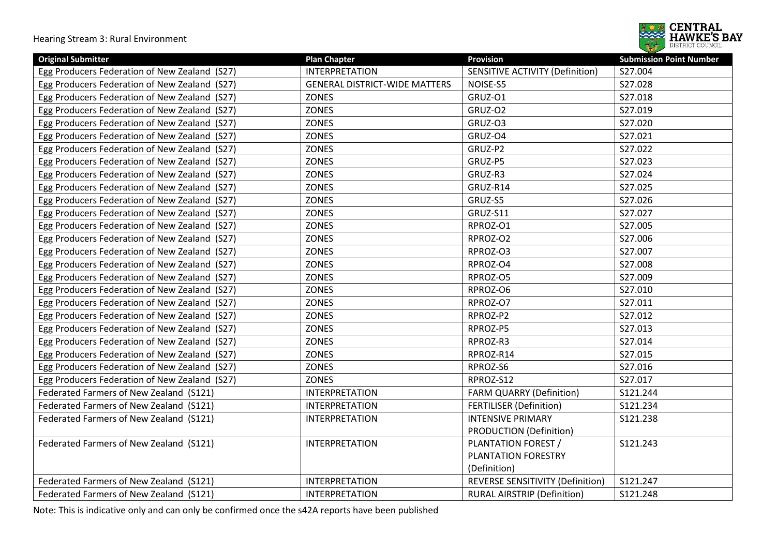

| <b>Original Submitter</b>                     | <b>Plan Chapter</b>                  | <b>Provision</b>                   | <b>Submission Point Number</b> |
|-----------------------------------------------|--------------------------------------|------------------------------------|--------------------------------|
| Egg Producers Federation of New Zealand (S27) | <b>INTERPRETATION</b>                | SENSITIVE ACTIVITY (Definition)    | S27.004                        |
| Egg Producers Federation of New Zealand (S27) | <b>GENERAL DISTRICT-WIDE MATTERS</b> | NOISE-S5                           | S27.028                        |
| Egg Producers Federation of New Zealand (S27) | <b>ZONES</b>                         | GRUZ-O1                            | S27.018                        |
| Egg Producers Federation of New Zealand (S27) | <b>ZONES</b>                         | GRUZ-O2                            | S27.019                        |
| Egg Producers Federation of New Zealand (S27) | <b>ZONES</b>                         | GRUZ-03                            | S27.020                        |
| Egg Producers Federation of New Zealand (S27) | <b>ZONES</b>                         | GRUZ-04                            | S27.021                        |
| Egg Producers Federation of New Zealand (S27) | <b>ZONES</b>                         | GRUZ-P2                            | S27.022                        |
| Egg Producers Federation of New Zealand (S27) | <b>ZONES</b>                         | GRUZ-P5                            | S27.023                        |
| Egg Producers Federation of New Zealand (S27) | <b>ZONES</b>                         | GRUZ-R3                            | S27.024                        |
| Egg Producers Federation of New Zealand (S27) | <b>ZONES</b>                         | GRUZ-R14                           | S27.025                        |
| Egg Producers Federation of New Zealand (S27) | <b>ZONES</b>                         | GRUZ-S5                            | S27.026                        |
| Egg Producers Federation of New Zealand (S27) | <b>ZONES</b>                         | GRUZ-S11                           | S27.027                        |
| Egg Producers Federation of New Zealand (S27) | <b>ZONES</b>                         | RPROZ-O1                           | S27.005                        |
| Egg Producers Federation of New Zealand (S27) | <b>ZONES</b>                         | RPROZ-O2                           | S27.006                        |
| Egg Producers Federation of New Zealand (S27) | ZONES                                | RPROZ-O3                           | S27.007                        |
| Egg Producers Federation of New Zealand (S27) | <b>ZONES</b>                         | RPROZ-O4                           | S27.008                        |
| Egg Producers Federation of New Zealand (S27) | <b>ZONES</b>                         | RPROZ-O5                           | S27.009                        |
| Egg Producers Federation of New Zealand (S27) | <b>ZONES</b>                         | RPROZ-O6                           | S27.010                        |
| Egg Producers Federation of New Zealand (S27) | <b>ZONES</b>                         | RPROZ-O7                           | S27.011                        |
| Egg Producers Federation of New Zealand (S27) | <b>ZONES</b>                         | RPROZ-P2                           | S27.012                        |
| Egg Producers Federation of New Zealand (S27) | <b>ZONES</b>                         | RPROZ-P5                           | S27.013                        |
| Egg Producers Federation of New Zealand (S27) | <b>ZONES</b>                         | RPROZ-R3                           | S27.014                        |
| Egg Producers Federation of New Zealand (S27) | <b>ZONES</b>                         | RPROZ-R14                          | S27.015                        |
| Egg Producers Federation of New Zealand (S27) | <b>ZONES</b>                         | RPROZ-S6                           | S27.016                        |
| Egg Producers Federation of New Zealand (S27) | <b>ZONES</b>                         | RPROZ-S12                          | S27.017                        |
| Federated Farmers of New Zealand (S121)       | <b>INTERPRETATION</b>                | <b>FARM QUARRY (Definition)</b>    | S121.244                       |
| Federated Farmers of New Zealand (S121)       | <b>INTERPRETATION</b>                | <b>FERTILISER (Definition)</b>     | S121.234                       |
| Federated Farmers of New Zealand (S121)       | <b>INTERPRETATION</b>                | <b>INTENSIVE PRIMARY</b>           | S121.238                       |
|                                               |                                      | <b>PRODUCTION (Definition)</b>     |                                |
| Federated Farmers of New Zealand (S121)       | <b>INTERPRETATION</b>                | PLANTATION FOREST /                | S121.243                       |
|                                               |                                      | PLANTATION FORESTRY                |                                |
|                                               |                                      | (Definition)                       |                                |
| Federated Farmers of New Zealand (S121)       | <b>INTERPRETATION</b>                | REVERSE SENSITIVITY (Definition)   | S121.247                       |
| Federated Farmers of New Zealand (S121)       | <b>INTERPRETATION</b>                | <b>RURAL AIRSTRIP (Definition)</b> | S121.248                       |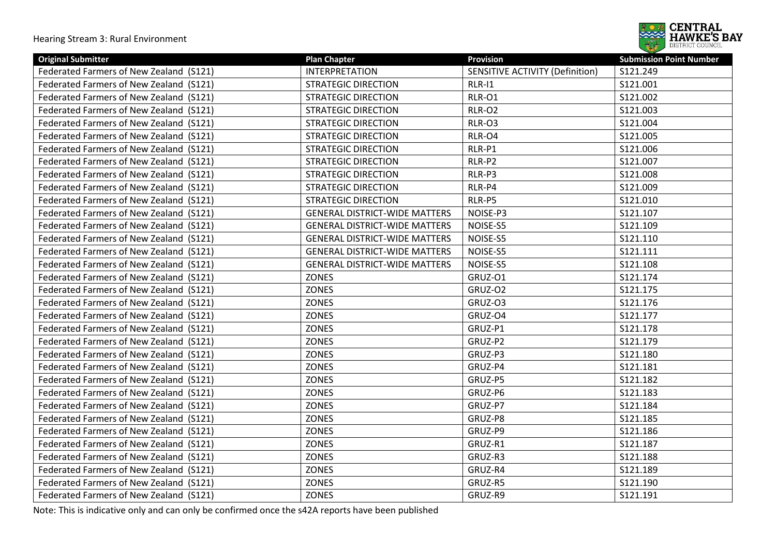

| <b>Original Submitter</b>               | <b>Plan Chapter</b>                  | <b>Provision</b>                       | <b>Submission Point Number</b> |
|-----------------------------------------|--------------------------------------|----------------------------------------|--------------------------------|
| Federated Farmers of New Zealand (S121) | <b>INTERPRETATION</b>                | <b>SENSITIVE ACTIVITY (Definition)</b> | S121.249                       |
| Federated Farmers of New Zealand (S121) | <b>STRATEGIC DIRECTION</b>           | $RLR-11$                               | S121.001                       |
| Federated Farmers of New Zealand (S121) | <b>STRATEGIC DIRECTION</b>           | <b>RLR-01</b>                          | S121.002                       |
| Federated Farmers of New Zealand (S121) | <b>STRATEGIC DIRECTION</b>           | <b>RLR-O2</b>                          | S121.003                       |
| Federated Farmers of New Zealand (S121) | <b>STRATEGIC DIRECTION</b>           | RLR-O3                                 | S121.004                       |
| Federated Farmers of New Zealand (S121) | <b>STRATEGIC DIRECTION</b>           | RLR-O4                                 | S121.005                       |
| Federated Farmers of New Zealand (S121) | <b>STRATEGIC DIRECTION</b>           | RLR-P1                                 | S121.006                       |
| Federated Farmers of New Zealand (S121) | <b>STRATEGIC DIRECTION</b>           | RLR-P2                                 | S121.007                       |
| Federated Farmers of New Zealand (S121) | <b>STRATEGIC DIRECTION</b>           | RLR-P3                                 | S121.008                       |
| Federated Farmers of New Zealand (S121) | <b>STRATEGIC DIRECTION</b>           | RLR-P4                                 | S121.009                       |
| Federated Farmers of New Zealand (S121) | <b>STRATEGIC DIRECTION</b>           | RLR-P5                                 | S121.010                       |
| Federated Farmers of New Zealand (S121) | <b>GENERAL DISTRICT-WIDE MATTERS</b> | NOISE-P3                               | S121.107                       |
| Federated Farmers of New Zealand (S121) | <b>GENERAL DISTRICT-WIDE MATTERS</b> | NOISE-S5                               | S121.109                       |
| Federated Farmers of New Zealand (S121) | <b>GENERAL DISTRICT-WIDE MATTERS</b> | NOISE-S5                               | S121.110                       |
| Federated Farmers of New Zealand (S121) | <b>GENERAL DISTRICT-WIDE MATTERS</b> | NOISE-S5                               | S121.111                       |
| Federated Farmers of New Zealand (S121) | <b>GENERAL DISTRICT-WIDE MATTERS</b> | NOISE-S5                               | S121.108                       |
| Federated Farmers of New Zealand (S121) | <b>ZONES</b>                         | GRUZ-01                                | S121.174                       |
| Federated Farmers of New Zealand (S121) | <b>ZONES</b>                         | GRUZ-O2                                | S121.175                       |
| Federated Farmers of New Zealand (S121) | <b>ZONES</b>                         | GRUZ-03                                | S121.176                       |
| Federated Farmers of New Zealand (S121) | <b>ZONES</b>                         | GRUZ-O4                                | S121.177                       |
| Federated Farmers of New Zealand (S121) | <b>ZONES</b>                         | GRUZ-P1                                | S121.178                       |
| Federated Farmers of New Zealand (S121) | ZONES                                | GRUZ-P2                                | S121.179                       |
| Federated Farmers of New Zealand (S121) | <b>ZONES</b>                         | GRUZ-P3                                | S121.180                       |
| Federated Farmers of New Zealand (S121) | <b>ZONES</b>                         | GRUZ-P4                                | S121.181                       |
| Federated Farmers of New Zealand (S121) | <b>ZONES</b>                         | GRUZ-P5                                | S121.182                       |
| Federated Farmers of New Zealand (S121) | <b>ZONES</b>                         | GRUZ-P6                                | S121.183                       |
| Federated Farmers of New Zealand (S121) | <b>ZONES</b>                         | GRUZ-P7                                | S121.184                       |
| Federated Farmers of New Zealand (S121) | <b>ZONES</b>                         | GRUZ-P8                                | S121.185                       |
| Federated Farmers of New Zealand (S121) | <b>ZONES</b>                         | GRUZ-P9                                | S121.186                       |
| Federated Farmers of New Zealand (S121) | <b>ZONES</b>                         | GRUZ-R1                                | S121.187                       |
| Federated Farmers of New Zealand (S121) | <b>ZONES</b>                         | GRUZ-R3                                | S121.188                       |
| Federated Farmers of New Zealand (S121) | <b>ZONES</b>                         | GRUZ-R4                                | S121.189                       |
| Federated Farmers of New Zealand (S121) | <b>ZONES</b>                         | GRUZ-R5                                | S121.190                       |
| Federated Farmers of New Zealand (S121) | <b>ZONES</b>                         | GRUZ-R9                                | S121.191                       |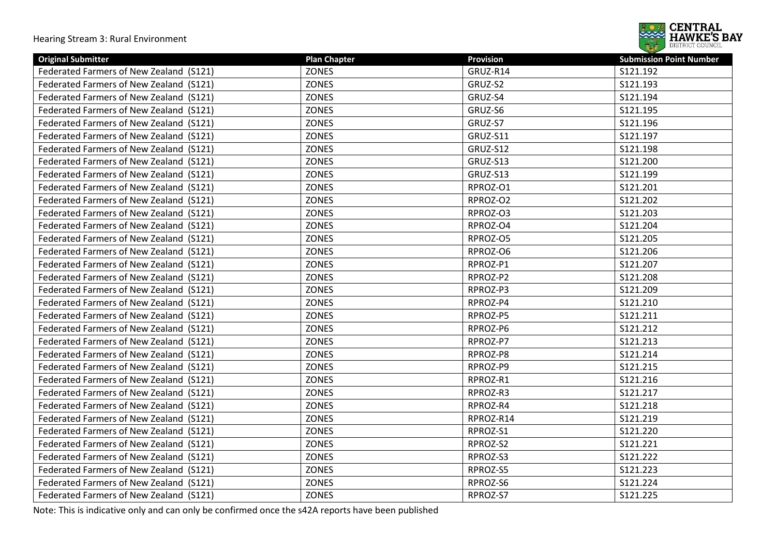

| <b>Original Submitter</b>               | <b>Plan Chapter</b> | Provision | <b>Submission Point Number</b> |
|-----------------------------------------|---------------------|-----------|--------------------------------|
| Federated Farmers of New Zealand (S121) | <b>ZONES</b>        | GRUZ-R14  | S121.192                       |
| Federated Farmers of New Zealand (S121) | <b>ZONES</b>        | GRUZ-S2   | S121.193                       |
| Federated Farmers of New Zealand (S121) | <b>ZONES</b>        | GRUZ-S4   | S121.194                       |
| Federated Farmers of New Zealand (S121) | <b>ZONES</b>        | GRUZ-S6   | S121.195                       |
| Federated Farmers of New Zealand (S121) | <b>ZONES</b>        | GRUZ-S7   | S121.196                       |
| Federated Farmers of New Zealand (S121) | <b>ZONES</b>        | GRUZ-S11  | S121.197                       |
| Federated Farmers of New Zealand (S121) | ZONES               | GRUZ-S12  | S121.198                       |
| Federated Farmers of New Zealand (S121) | <b>ZONES</b>        | GRUZ-S13  | S121.200                       |
| Federated Farmers of New Zealand (S121) | <b>ZONES</b>        | GRUZ-S13  | S121.199                       |
| Federated Farmers of New Zealand (S121) | ZONES               | RPROZ-O1  | S121.201                       |
| Federated Farmers of New Zealand (S121) | <b>ZONES</b>        | RPROZ-O2  | S121.202                       |
| Federated Farmers of New Zealand (S121) | <b>ZONES</b>        | RPROZ-O3  | S121.203                       |
| Federated Farmers of New Zealand (S121) | <b>ZONES</b>        | RPROZ-O4  | S121.204                       |
| Federated Farmers of New Zealand (S121) | <b>ZONES</b>        | RPROZ-O5  | S121.205                       |
| Federated Farmers of New Zealand (S121) | <b>ZONES</b>        | RPROZ-O6  | S121.206                       |
| Federated Farmers of New Zealand (S121) | <b>ZONES</b>        | RPROZ-P1  | S121.207                       |
| Federated Farmers of New Zealand (S121) | <b>ZONES</b>        | RPROZ-P2  | S121.208                       |
| Federated Farmers of New Zealand (S121) | <b>ZONES</b>        | RPROZ-P3  | S121.209                       |
| Federated Farmers of New Zealand (S121) | <b>ZONES</b>        | RPROZ-P4  | S121.210                       |
| Federated Farmers of New Zealand (S121) | <b>ZONES</b>        | RPROZ-P5  | S121.211                       |
| Federated Farmers of New Zealand (S121) | <b>ZONES</b>        | RPROZ-P6  | S121.212                       |
| Federated Farmers of New Zealand (S121) | ZONES               | RPROZ-P7  | S121.213                       |
| Federated Farmers of New Zealand (S121) | ZONES               | RPROZ-P8  | S121.214                       |
| Federated Farmers of New Zealand (S121) | <b>ZONES</b>        | RPROZ-P9  | S121.215                       |
| Federated Farmers of New Zealand (S121) | ZONES               | RPROZ-R1  | S121.216                       |
| Federated Farmers of New Zealand (S121) | ZONES               | RPROZ-R3  | S121.217                       |
| Federated Farmers of New Zealand (S121) | <b>ZONES</b>        | RPROZ-R4  | S121.218                       |
| Federated Farmers of New Zealand (S121) | <b>ZONES</b>        | RPROZ-R14 | S121.219                       |
| Federated Farmers of New Zealand (S121) | ZONES               | RPROZ-S1  | S121.220                       |
| Federated Farmers of New Zealand (S121) | ZONES               | RPROZ-S2  | S121.221                       |
| Federated Farmers of New Zealand (S121) | <b>ZONES</b>        | RPROZ-S3  | S121.222                       |
| Federated Farmers of New Zealand (S121) | <b>ZONES</b>        | RPROZ-S5  | S121.223                       |
| Federated Farmers of New Zealand (S121) | <b>ZONES</b>        | RPROZ-S6  | S121.224                       |
| Federated Farmers of New Zealand (S121) | <b>ZONES</b>        | RPROZ-S7  | S121.225                       |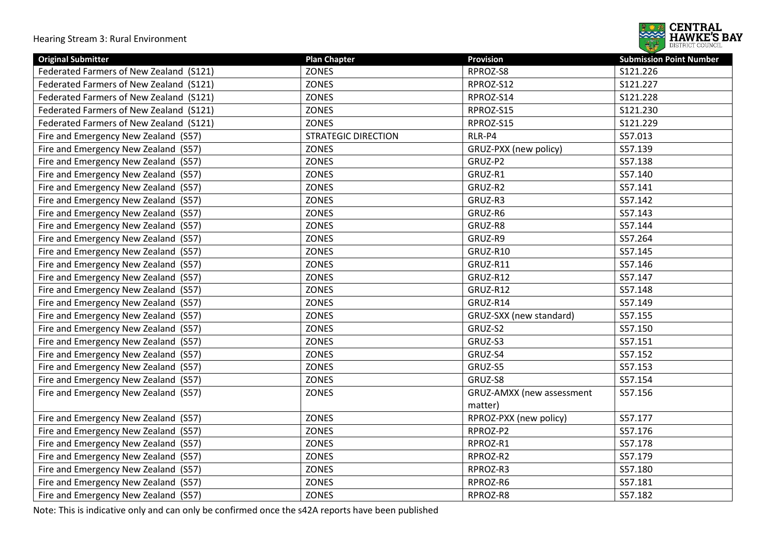

| <b>Original Submitter</b>               | <b>Plan Chapter</b>        | <b>Provision</b>          | <b>Submission Point Number</b> |
|-----------------------------------------|----------------------------|---------------------------|--------------------------------|
| Federated Farmers of New Zealand (S121) | <b>ZONES</b>               | RPROZ-S8                  | S121.226                       |
| Federated Farmers of New Zealand (S121) | <b>ZONES</b>               | RPROZ-S12                 | S121.227                       |
| Federated Farmers of New Zealand (S121) | <b>ZONES</b>               | RPROZ-S14                 | S121.228                       |
| Federated Farmers of New Zealand (S121) | <b>ZONES</b>               | RPROZ-S15                 | S121.230                       |
| Federated Farmers of New Zealand (S121) | <b>ZONES</b>               | RPROZ-S15                 | S121.229                       |
| Fire and Emergency New Zealand (S57)    | <b>STRATEGIC DIRECTION</b> | RLR-P4                    | S57.013                        |
| Fire and Emergency New Zealand (S57)    | <b>ZONES</b>               | GRUZ-PXX (new policy)     | S57.139                        |
| Fire and Emergency New Zealand (S57)    | ZONES                      | GRUZ-P2                   | S57.138                        |
| Fire and Emergency New Zealand (S57)    | <b>ZONES</b>               | GRUZ-R1                   | S57.140                        |
| Fire and Emergency New Zealand (S57)    | <b>ZONES</b>               | GRUZ-R2                   | S57.141                        |
| Fire and Emergency New Zealand (S57)    | <b>ZONES</b>               | GRUZ-R3                   | S57.142                        |
| Fire and Emergency New Zealand (S57)    | <b>ZONES</b>               | GRUZ-R6                   | S57.143                        |
| Fire and Emergency New Zealand (S57)    | <b>ZONES</b>               | GRUZ-R8                   | S57.144                        |
| Fire and Emergency New Zealand (S57)    | <b>ZONES</b>               | GRUZ-R9                   | S57.264                        |
| Fire and Emergency New Zealand (S57)    | <b>ZONES</b>               | GRUZ-R10                  | S57.145                        |
| Fire and Emergency New Zealand (S57)    | ZONES                      | GRUZ-R11                  | S57.146                        |
| Fire and Emergency New Zealand (S57)    | <b>ZONES</b>               | GRUZ-R12                  | S57.147                        |
| Fire and Emergency New Zealand (S57)    | <b>ZONES</b>               | GRUZ-R12                  | S57.148                        |
| Fire and Emergency New Zealand (S57)    | <b>ZONES</b>               | GRUZ-R14                  | S57.149                        |
| Fire and Emergency New Zealand (S57)    | <b>ZONES</b>               | GRUZ-SXX (new standard)   | S57.155                        |
| Fire and Emergency New Zealand (S57)    | <b>ZONES</b>               | GRUZ-S2                   | S57.150                        |
| Fire and Emergency New Zealand (S57)    | <b>ZONES</b>               | GRUZ-S3                   | S57.151                        |
| Fire and Emergency New Zealand (S57)    | <b>ZONES</b>               | GRUZ-S4                   | S57.152                        |
| Fire and Emergency New Zealand (S57)    | <b>ZONES</b>               | GRUZ-S5                   | S57.153                        |
| Fire and Emergency New Zealand (S57)    | <b>ZONES</b>               | GRUZ-S8                   | S57.154                        |
| Fire and Emergency New Zealand (S57)    | <b>ZONES</b>               | GRUZ-AMXX (new assessment | S57.156                        |
|                                         |                            | matter)                   |                                |
| Fire and Emergency New Zealand (S57)    | ZONES                      | RPROZ-PXX (new policy)    | S57.177                        |
| Fire and Emergency New Zealand (S57)    | <b>ZONES</b>               | RPROZ-P2                  | S57.176                        |
| Fire and Emergency New Zealand (S57)    | <b>ZONES</b>               | RPROZ-R1                  | S57.178                        |
| Fire and Emergency New Zealand (S57)    | <b>ZONES</b>               | RPROZ-R2                  | S57.179                        |
| Fire and Emergency New Zealand (S57)    | <b>ZONES</b>               | RPROZ-R3                  | S57.180                        |
| Fire and Emergency New Zealand (S57)    | <b>ZONES</b>               | RPROZ-R6                  | S57.181                        |
| Fire and Emergency New Zealand (S57)    | <b>ZONES</b>               | RPROZ-R8                  | S57.182                        |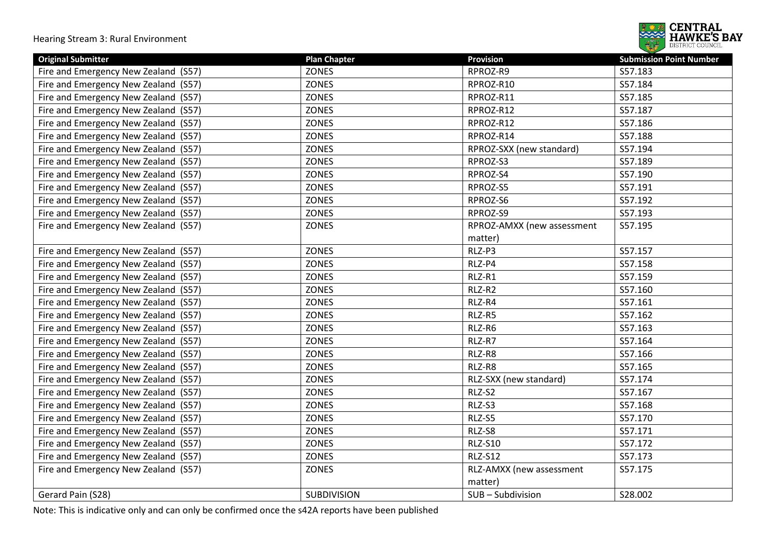

| <b>Original Submitter</b>            | <b>Plan Chapter</b> | <b>Provision</b>           | <b>Submission Point Number</b> |
|--------------------------------------|---------------------|----------------------------|--------------------------------|
| Fire and Emergency New Zealand (S57) | <b>ZONES</b>        | RPROZ-R9                   | S57.183                        |
| Fire and Emergency New Zealand (S57) | <b>ZONES</b>        | RPROZ-R10                  | S57.184                        |
| Fire and Emergency New Zealand (S57) | ZONES               | RPROZ-R11                  | S57.185                        |
| Fire and Emergency New Zealand (S57) | <b>ZONES</b>        | RPROZ-R12                  | S57.187                        |
| Fire and Emergency New Zealand (S57) | <b>ZONES</b>        | RPROZ-R12                  | S57.186                        |
| Fire and Emergency New Zealand (S57) | <b>ZONES</b>        | RPROZ-R14                  | S57.188                        |
| Fire and Emergency New Zealand (S57) | <b>ZONES</b>        | RPROZ-SXX (new standard)   | S57.194                        |
| Fire and Emergency New Zealand (S57) | <b>ZONES</b>        | RPROZ-S3                   | S57.189                        |
| Fire and Emergency New Zealand (S57) | <b>ZONES</b>        | RPROZ-S4                   | S57.190                        |
| Fire and Emergency New Zealand (S57) | ZONES               | RPROZ-S5                   | S57.191                        |
| Fire and Emergency New Zealand (S57) | <b>ZONES</b>        | RPROZ-S6                   | S57.192                        |
| Fire and Emergency New Zealand (S57) | ZONES               | RPROZ-S9                   | S57.193                        |
| Fire and Emergency New Zealand (S57) | <b>ZONES</b>        | RPROZ-AMXX (new assessment | S57.195                        |
|                                      |                     | matter)                    |                                |
| Fire and Emergency New Zealand (S57) | ZONES               | RLZ-P3                     | S57.157                        |
| Fire and Emergency New Zealand (S57) | ZONES               | RLZ-P4                     | S57.158                        |
| Fire and Emergency New Zealand (S57) | ZONES               | RLZ-R1                     | S57.159                        |
| Fire and Emergency New Zealand (S57) | ZONES               | RLZ-R2                     | S57.160                        |
| Fire and Emergency New Zealand (S57) | ZONES               | RLZ-R4                     | S57.161                        |
| Fire and Emergency New Zealand (S57) | ZONES               | RLZ-R5                     | S57.162                        |
| Fire and Emergency New Zealand (S57) | ZONES               | RLZ-R6                     | S57.163                        |
| Fire and Emergency New Zealand (S57) | ZONES               | RLZ-R7                     | S57.164                        |
| Fire and Emergency New Zealand (S57) | <b>ZONES</b>        | RLZ-R8                     | S57.166                        |
| Fire and Emergency New Zealand (S57) | ZONES               | RLZ-R8                     | S57.165                        |
| Fire and Emergency New Zealand (S57) | <b>ZONES</b>        | RLZ-SXX (new standard)     | S57.174                        |
| Fire and Emergency New Zealand (S57) | ZONES               | RLZ-S2                     | S57.167                        |
| Fire and Emergency New Zealand (S57) | ZONES               | RLZ-S3                     | S57.168                        |
| Fire and Emergency New Zealand (S57) | <b>ZONES</b>        | RLZ-S5                     | S57.170                        |
| Fire and Emergency New Zealand (S57) | ZONES               | RLZ-S8                     | S57.171                        |
| Fire and Emergency New Zealand (S57) | <b>ZONES</b>        | <b>RLZ-S10</b>             | S57.172                        |
| Fire and Emergency New Zealand (S57) | ZONES               | <b>RLZ-S12</b>             | S57.173                        |
| Fire and Emergency New Zealand (S57) | ZONES               | RLZ-AMXX (new assessment   | S57.175                        |
|                                      |                     | matter)                    |                                |
| Gerard Pain (S28)                    | SUBDIVISION         | SUB-Subdivision            | S28.002                        |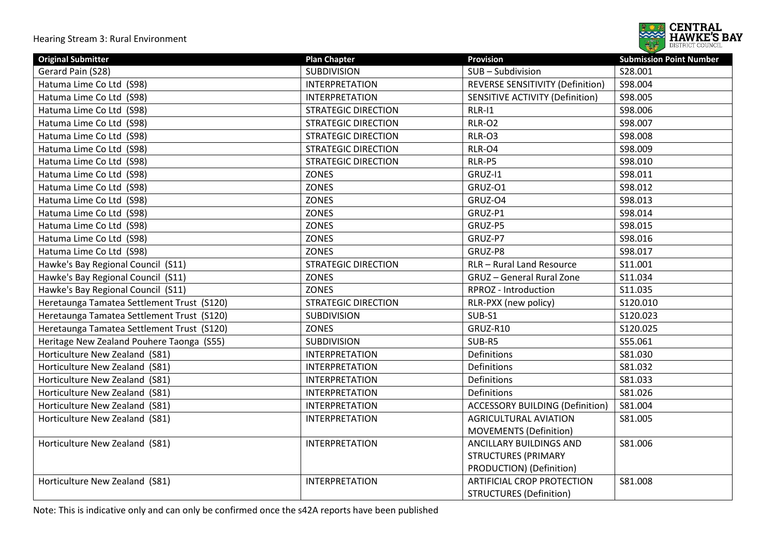

| <b>Original Submitter</b>                  | <b>Plan Chapter</b>        | <b>Provision</b>                        | <b>Submission Point Number</b> |
|--------------------------------------------|----------------------------|-----------------------------------------|--------------------------------|
| Gerard Pain (S28)                          | <b>SUBDIVISION</b>         | SUB-Subdivision                         | S28.001                        |
| Hatuma Lime Co Ltd (S98)                   | <b>INTERPRETATION</b>      | <b>REVERSE SENSITIVITY (Definition)</b> | S98.004                        |
| Hatuma Lime Co Ltd (S98)                   | <b>INTERPRETATION</b>      | <b>SENSITIVE ACTIVITY (Definition)</b>  | S98.005                        |
| Hatuma Lime Co Ltd (S98)                   | <b>STRATEGIC DIRECTION</b> | $RLR-11$                                | S98.006                        |
| Hatuma Lime Co Ltd (S98)                   | <b>STRATEGIC DIRECTION</b> | <b>RLR-O2</b>                           | S98.007                        |
| Hatuma Lime Co Ltd (S98)                   | <b>STRATEGIC DIRECTION</b> | RLR-O3                                  | S98.008                        |
| Hatuma Lime Co Ltd (S98)                   | <b>STRATEGIC DIRECTION</b> | RLR-O4                                  | S98.009                        |
| Hatuma Lime Co Ltd (S98)                   | <b>STRATEGIC DIRECTION</b> | RLR-P5                                  | S98.010                        |
| Hatuma Lime Co Ltd (S98)                   | <b>ZONES</b>               | GRUZ-I1                                 | S98.011                        |
| Hatuma Lime Co Ltd (S98)                   | <b>ZONES</b>               | GRUZ-O1                                 | S98.012                        |
| Hatuma Lime Co Ltd (S98)                   | <b>ZONES</b>               | GRUZ-O4                                 | S98.013                        |
| Hatuma Lime Co Ltd (S98)                   | <b>ZONES</b>               | GRUZ-P1                                 | S98.014                        |
| Hatuma Lime Co Ltd (S98)                   | <b>ZONES</b>               | GRUZ-P5                                 | S98.015                        |
| Hatuma Lime Co Ltd (S98)                   | <b>ZONES</b>               | GRUZ-P7                                 | S98.016                        |
| Hatuma Lime Co Ltd (S98)                   | <b>ZONES</b>               | GRUZ-P8                                 | S98.017                        |
| Hawke's Bay Regional Council (S11)         | <b>STRATEGIC DIRECTION</b> | RLR - Rural Land Resource               | S11.001                        |
| Hawke's Bay Regional Council (S11)         | <b>ZONES</b>               | <b>GRUZ</b> - General Rural Zone        | S11.034                        |
| Hawke's Bay Regional Council (S11)         | <b>ZONES</b>               | RPROZ - Introduction                    | S11.035                        |
| Heretaunga Tamatea Settlement Trust (S120) | <b>STRATEGIC DIRECTION</b> | RLR-PXX (new policy)                    | S120.010                       |
| Heretaunga Tamatea Settlement Trust (S120) | <b>SUBDIVISION</b>         | SUB-S1                                  | S120.023                       |
| Heretaunga Tamatea Settlement Trust (S120) | <b>ZONES</b>               | GRUZ-R10                                | S120.025                       |
| Heritage New Zealand Pouhere Taonga (S55)  | <b>SUBDIVISION</b>         | SUB-R5                                  | S55.061                        |
| Horticulture New Zealand (S81)             | <b>INTERPRETATION</b>      | Definitions                             | S81.030                        |
| Horticulture New Zealand (S81)             | <b>INTERPRETATION</b>      | Definitions                             | S81.032                        |
| Horticulture New Zealand (S81)             | <b>INTERPRETATION</b>      | Definitions                             | S81.033                        |
| Horticulture New Zealand (S81)             | <b>INTERPRETATION</b>      | Definitions                             | S81.026                        |
| Horticulture New Zealand (S81)             | <b>INTERPRETATION</b>      | <b>ACCESSORY BUILDING (Definition)</b>  | S81.004                        |
| Horticulture New Zealand (S81)             | <b>INTERPRETATION</b>      | <b>AGRICULTURAL AVIATION</b>            | S81.005                        |
|                                            |                            | <b>MOVEMENTS (Definition)</b>           |                                |
| Horticulture New Zealand (S81)             | <b>INTERPRETATION</b>      | ANCILLARY BUILDINGS AND                 | S81.006                        |
|                                            |                            | <b>STRUCTURES (PRIMARY</b>              |                                |
|                                            |                            | PRODUCTION) (Definition)                |                                |
| Horticulture New Zealand (S81)             | <b>INTERPRETATION</b>      | <b>ARTIFICIAL CROP PROTECTION</b>       | S81.008                        |
|                                            |                            | <b>STRUCTURES (Definition)</b>          |                                |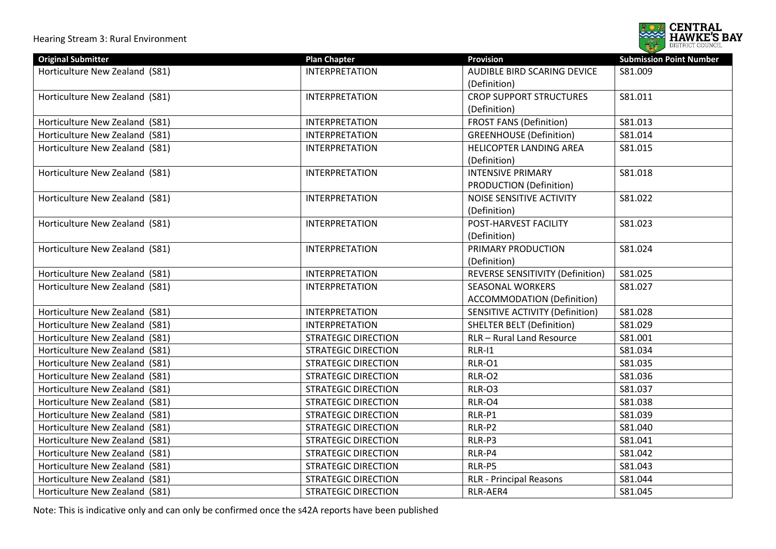

| <b>Original Submitter</b>      | <b>Plan Chapter</b>        | <b>Provision</b>                        | <b>Submission Point Number</b> |
|--------------------------------|----------------------------|-----------------------------------------|--------------------------------|
| Horticulture New Zealand (S81) | <b>INTERPRETATION</b>      | <b>AUDIBLE BIRD SCARING DEVICE</b>      | S81.009                        |
|                                |                            | (Definition)                            |                                |
| Horticulture New Zealand (S81) | <b>INTERPRETATION</b>      | <b>CROP SUPPORT STRUCTURES</b>          | S81.011                        |
|                                |                            | (Definition)                            |                                |
| Horticulture New Zealand (S81) | <b>INTERPRETATION</b>      | <b>FROST FANS (Definition)</b>          | S81.013                        |
| Horticulture New Zealand (S81) | <b>INTERPRETATION</b>      | <b>GREENHOUSE (Definition)</b>          | S81.014                        |
| Horticulture New Zealand (S81) | <b>INTERPRETATION</b>      | HELICOPTER LANDING AREA                 | S81.015                        |
|                                |                            | (Definition)                            |                                |
| Horticulture New Zealand (S81) | <b>INTERPRETATION</b>      | <b>INTENSIVE PRIMARY</b>                | S81.018                        |
|                                |                            | <b>PRODUCTION (Definition)</b>          |                                |
| Horticulture New Zealand (S81) | <b>INTERPRETATION</b>      | NOISE SENSITIVE ACTIVITY                | S81.022                        |
|                                |                            | (Definition)                            |                                |
| Horticulture New Zealand (S81) | <b>INTERPRETATION</b>      | POST-HARVEST FACILITY                   | S81.023                        |
|                                |                            | (Definition)                            |                                |
| Horticulture New Zealand (S81) | <b>INTERPRETATION</b>      | PRIMARY PRODUCTION                      | S81.024                        |
|                                |                            | (Definition)                            |                                |
| Horticulture New Zealand (S81) | <b>INTERPRETATION</b>      | <b>REVERSE SENSITIVITY (Definition)</b> | S81.025                        |
| Horticulture New Zealand (S81) | <b>INTERPRETATION</b>      | <b>SEASONAL WORKERS</b>                 | S81.027                        |
|                                |                            | <b>ACCOMMODATION (Definition)</b>       |                                |
| Horticulture New Zealand (S81) | <b>INTERPRETATION</b>      | <b>SENSITIVE ACTIVITY (Definition)</b>  | S81.028                        |
| Horticulture New Zealand (S81) | <b>INTERPRETATION</b>      | <b>SHELTER BELT (Definition)</b>        | S81.029                        |
| Horticulture New Zealand (S81) | <b>STRATEGIC DIRECTION</b> | <b>RLR- Rural Land Resource</b>         | S81.001                        |
| Horticulture New Zealand (S81) | <b>STRATEGIC DIRECTION</b> | $RLR-11$                                | S81.034                        |
| Horticulture New Zealand (S81) | <b>STRATEGIC DIRECTION</b> | RLR-O1                                  | S81.035                        |
| Horticulture New Zealand (S81) | <b>STRATEGIC DIRECTION</b> | RLR-O2                                  | S81.036                        |
| Horticulture New Zealand (S81) | <b>STRATEGIC DIRECTION</b> | RLR-O3                                  | S81.037                        |
| Horticulture New Zealand (S81) | <b>STRATEGIC DIRECTION</b> | RLR-O4                                  | S81.038                        |
| Horticulture New Zealand (S81) | <b>STRATEGIC DIRECTION</b> | RLR-P1                                  | S81.039                        |
| Horticulture New Zealand (S81) | <b>STRATEGIC DIRECTION</b> | RLR-P2                                  | S81.040                        |
| Horticulture New Zealand (S81) | <b>STRATEGIC DIRECTION</b> | RLR-P3                                  | S81.041                        |
| Horticulture New Zealand (S81) | <b>STRATEGIC DIRECTION</b> | RLR-P4                                  | S81.042                        |
| Horticulture New Zealand (S81) | <b>STRATEGIC DIRECTION</b> | RLR-P5                                  | S81.043                        |
| Horticulture New Zealand (S81) | <b>STRATEGIC DIRECTION</b> | <b>RLR - Principal Reasons</b>          | S81.044                        |
| Horticulture New Zealand (S81) | <b>STRATEGIC DIRECTION</b> | RLR-AER4                                | S81.045                        |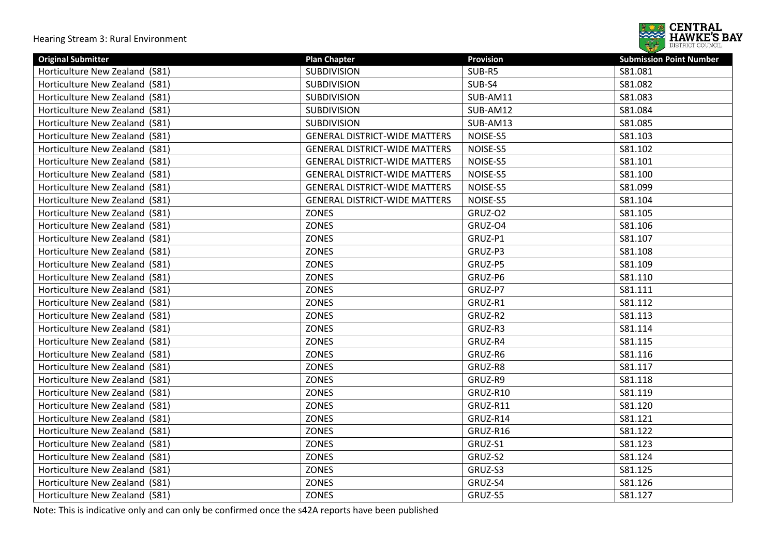

| <b>Original Submitter</b>         | <b>Plan Chapter</b>                  | <b>Provision</b> | <b>Submission Point Number</b> |
|-----------------------------------|--------------------------------------|------------------|--------------------------------|
| Horticulture New Zealand (S81)    | <b>SUBDIVISION</b>                   | SUB-R5           | S81.081                        |
| Horticulture New Zealand (S81)    | <b>SUBDIVISION</b>                   | SUB-S4           | S81.082                        |
| Horticulture New Zealand (S81)    | <b>SUBDIVISION</b>                   | SUB-AM11         | S81.083                        |
| Horticulture New Zealand (S81)    | <b>SUBDIVISION</b>                   | SUB-AM12         | S81.084                        |
| Horticulture New Zealand<br>(S81) | <b>SUBDIVISION</b>                   | SUB-AM13         | S81.085                        |
| Horticulture New Zealand (S81)    | <b>GENERAL DISTRICT-WIDE MATTERS</b> | NOISE-S5         | S81.103                        |
| Horticulture New Zealand (S81)    | <b>GENERAL DISTRICT-WIDE MATTERS</b> | NOISE-S5         | S81.102                        |
| Horticulture New Zealand (S81)    | <b>GENERAL DISTRICT-WIDE MATTERS</b> | NOISE-S5         | S81.101                        |
| Horticulture New Zealand (S81)    | <b>GENERAL DISTRICT-WIDE MATTERS</b> | NOISE-S5         | S81.100                        |
| Horticulture New Zealand (S81)    | <b>GENERAL DISTRICT-WIDE MATTERS</b> | NOISE-S5         | S81.099                        |
| Horticulture New Zealand (S81)    | <b>GENERAL DISTRICT-WIDE MATTERS</b> | NOISE-S5         | S81.104                        |
| Horticulture New Zealand (S81)    | ZONES                                | GRUZ-O2          | S81.105                        |
| Horticulture New Zealand (S81)    | <b>ZONES</b>                         | GRUZ-O4          | S81.106                        |
| Horticulture New Zealand (S81)    | ZONES                                | GRUZ-P1          | S81.107                        |
| Horticulture New Zealand (S81)    | <b>ZONES</b>                         | GRUZ-P3          | S81.108                        |
| Horticulture New Zealand (S81)    | <b>ZONES</b>                         | GRUZ-P5          | S81.109                        |
| Horticulture New Zealand (S81)    | <b>ZONES</b>                         | GRUZ-P6          | S81.110                        |
| Horticulture New Zealand (S81)    | <b>ZONES</b>                         | GRUZ-P7          | S81.111                        |
| Horticulture New Zealand (S81)    | <b>ZONES</b>                         | GRUZ-R1          | S81.112                        |
| Horticulture New Zealand<br>(S81) | <b>ZONES</b>                         | GRUZ-R2          | S81.113                        |
| Horticulture New Zealand (S81)    | <b>ZONES</b>                         | GRUZ-R3          | S81.114                        |
| Horticulture New Zealand (S81)    | ZONES                                | GRUZ-R4          | S81.115                        |
| Horticulture New Zealand (S81)    | ZONES                                | GRUZ-R6          | S81.116                        |
| Horticulture New Zealand (S81)    | <b>ZONES</b>                         | GRUZ-R8          | S81.117                        |
| Horticulture New Zealand (S81)    | ZONES                                | GRUZ-R9          | S81.118                        |
| Horticulture New Zealand (S81)    | ZONES                                | GRUZ-R10         | S81.119                        |
| Horticulture New Zealand (S81)    | <b>ZONES</b>                         | GRUZ-R11         | S81.120                        |
| Horticulture New Zealand (S81)    | <b>ZONES</b>                         | GRUZ-R14         | S81.121                        |
| Horticulture New Zealand (S81)    | ZONES                                | GRUZ-R16         | S81.122                        |
| Horticulture New Zealand (S81)    | <b>ZONES</b>                         | GRUZ-S1          | S81.123                        |
| Horticulture New Zealand (S81)    | <b>ZONES</b>                         | GRUZ-S2          | S81.124                        |
| Horticulture New Zealand (S81)    | <b>ZONES</b>                         | GRUZ-S3          | S81.125                        |
| Horticulture New Zealand (S81)    | <b>ZONES</b>                         | GRUZ-S4          | S81.126                        |
| Horticulture New Zealand (S81)    | <b>ZONES</b>                         | GRUZ-S5          | S81.127                        |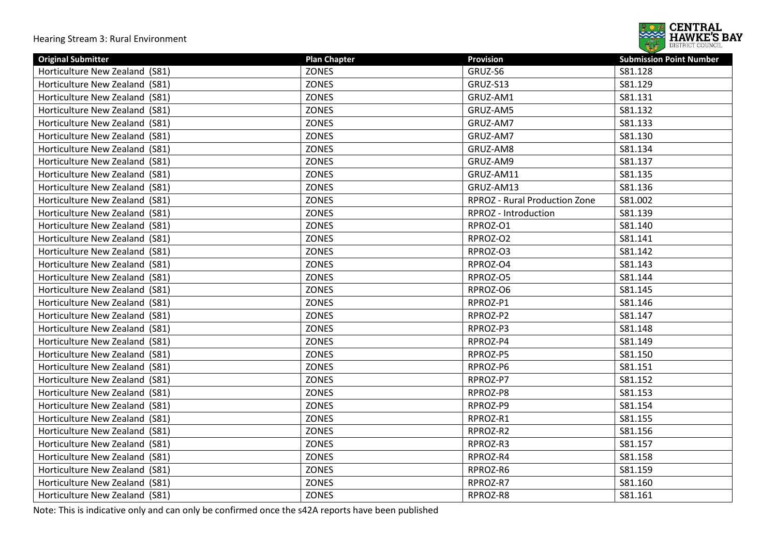

| <b>Original Submitter</b>      | <b>Plan Chapter</b> | <b>Provision</b>                     | <b>Submission Point Number</b> |
|--------------------------------|---------------------|--------------------------------------|--------------------------------|
| Horticulture New Zealand (S81) | <b>ZONES</b>        | GRUZ-S6                              | S81.128                        |
| Horticulture New Zealand (S81) | <b>ZONES</b>        | GRUZ-S13                             | S81.129                        |
| Horticulture New Zealand (S81) | <b>ZONES</b>        | GRUZ-AM1                             | S81.131                        |
| Horticulture New Zealand (S81) | ZONES               | GRUZ-AM5                             | S81.132                        |
| Horticulture New Zealand (S81) | <b>ZONES</b>        | GRUZ-AM7                             | S81.133                        |
| Horticulture New Zealand (S81) | <b>ZONES</b>        | GRUZ-AM7                             | S81.130                        |
| Horticulture New Zealand (S81) | ZONES               | GRUZ-AM8                             | S81.134                        |
| Horticulture New Zealand (S81) | <b>ZONES</b>        | GRUZ-AM9                             | S81.137                        |
| Horticulture New Zealand (S81) | <b>ZONES</b>        | GRUZ-AM11                            | S81.135                        |
| Horticulture New Zealand (S81) | ZONES               | GRUZ-AM13                            | S81.136                        |
| Horticulture New Zealand (S81) | ZONES               | <b>RPROZ - Rural Production Zone</b> | S81.002                        |
| Horticulture New Zealand (S81) | ZONES               | RPROZ - Introduction                 | S81.139                        |
| Horticulture New Zealand (S81) | ZONES               | RPROZ-O1                             | S81.140                        |
| Horticulture New Zealand (S81) | ZONES               | RPROZ-O2                             | S81.141                        |
| Horticulture New Zealand (S81) | ZONES               | RPROZ-O3                             | S81.142                        |
| Horticulture New Zealand (S81) | <b>ZONES</b>        | RPROZ-O4                             | S81.143                        |
| Horticulture New Zealand (S81) | <b>ZONES</b>        | RPROZ-O5                             | S81.144                        |
| Horticulture New Zealand (S81) | <b>ZONES</b>        | RPROZ-O6                             | S81.145                        |
| Horticulture New Zealand (S81) | <b>ZONES</b>        | RPROZ-P1                             | S81.146                        |
| Horticulture New Zealand (S81) | ZONES               | RPROZ-P2                             | S81.147                        |
| Horticulture New Zealand (S81) | ZONES               | RPROZ-P3                             | S81.148                        |
| Horticulture New Zealand (S81) | <b>ZONES</b>        | RPROZ-P4                             | S81.149                        |
| Horticulture New Zealand (S81) | <b>ZONES</b>        | RPROZ-P5                             | S81.150                        |
| Horticulture New Zealand (S81) | <b>ZONES</b>        | RPROZ-P6                             | S81.151                        |
| Horticulture New Zealand (S81) | <b>ZONES</b>        | RPROZ-P7                             | S81.152                        |
| Horticulture New Zealand (S81) | <b>ZONES</b>        | RPROZ-P8                             | S81.153                        |
| Horticulture New Zealand (S81) | <b>ZONES</b>        | RPROZ-P9                             | S81.154                        |
| Horticulture New Zealand (S81) | ZONES               | RPROZ-R1                             | S81.155                        |
| Horticulture New Zealand (S81) | <b>ZONES</b>        | RPROZ-R2                             | S81.156                        |
| Horticulture New Zealand (S81) | <b>ZONES</b>        | RPROZ-R3                             | S81.157                        |
| Horticulture New Zealand (S81) | <b>ZONES</b>        | RPROZ-R4                             | S81.158                        |
| Horticulture New Zealand (S81) | <b>ZONES</b>        | RPROZ-R6                             | S81.159                        |
| Horticulture New Zealand (S81) | <b>ZONES</b>        | RPROZ-R7                             | S81.160                        |
| Horticulture New Zealand (S81) | ZONES               | RPROZ-R8                             | S81.161                        |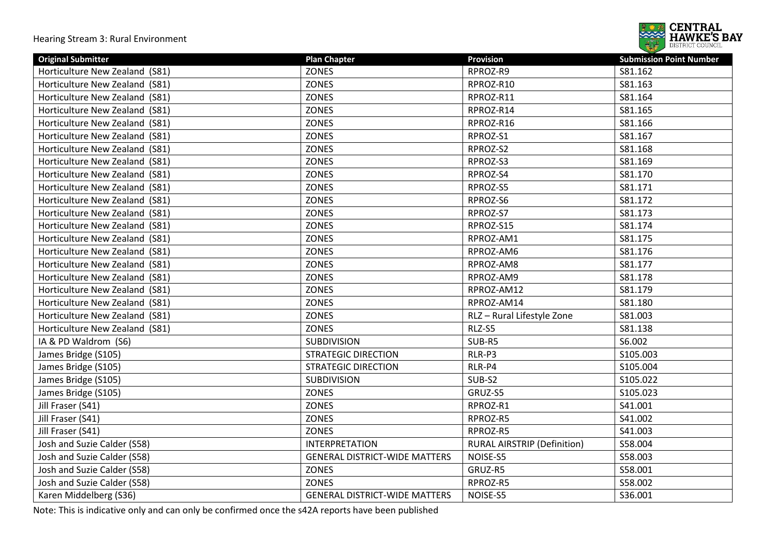

| <b>Original Submitter</b>      | <b>Plan Chapter</b>                  | <b>Provision</b>                   | <b>Submission Point Number</b> |
|--------------------------------|--------------------------------------|------------------------------------|--------------------------------|
| Horticulture New Zealand (S81) | <b>ZONES</b>                         | RPROZ-R9                           | S81.162                        |
| Horticulture New Zealand (S81) | <b>ZONES</b>                         | RPROZ-R10                          | S81.163                        |
| Horticulture New Zealand (S81) | <b>ZONES</b>                         | RPROZ-R11                          | S81.164                        |
| Horticulture New Zealand (S81) | <b>ZONES</b>                         | RPROZ-R14                          | S81.165                        |
| Horticulture New Zealand (S81) | <b>ZONES</b>                         | RPROZ-R16                          | S81.166                        |
| Horticulture New Zealand (S81) | <b>ZONES</b>                         | RPROZ-S1                           | S81.167                        |
| Horticulture New Zealand (S81) | <b>ZONES</b>                         | RPROZ-S2                           | S81.168                        |
| Horticulture New Zealand (S81) | ZONES                                | RPROZ-S3                           | S81.169                        |
| Horticulture New Zealand (S81) | <b>ZONES</b>                         | RPROZ-S4                           | S81.170                        |
| Horticulture New Zealand (S81) | <b>ZONES</b>                         | RPROZ-S5                           | S81.171                        |
| Horticulture New Zealand (S81) | <b>ZONES</b>                         | RPROZ-S6                           | S81.172                        |
| Horticulture New Zealand (S81) | <b>ZONES</b>                         | RPROZ-S7                           | S81.173                        |
| Horticulture New Zealand (S81) | ZONES                                | RPROZ-S15                          | S81.174                        |
| Horticulture New Zealand (S81) | <b>ZONES</b>                         | RPROZ-AM1                          | S81.175                        |
| Horticulture New Zealand (S81) | <b>ZONES</b>                         | RPROZ-AM6                          | S81.176                        |
| Horticulture New Zealand (S81) | <b>ZONES</b>                         | RPROZ-AM8                          | S81.177                        |
| Horticulture New Zealand (S81) | <b>ZONES</b>                         | RPROZ-AM9                          | S81.178                        |
| Horticulture New Zealand (S81) | <b>ZONES</b>                         | RPROZ-AM12                         | S81.179                        |
| Horticulture New Zealand (S81) | ZONES                                | RPROZ-AM14                         | S81.180                        |
| Horticulture New Zealand (S81) | <b>ZONES</b>                         | RLZ - Rural Lifestyle Zone         | S81.003                        |
| Horticulture New Zealand (S81) | <b>ZONES</b>                         | RLZ-S5                             | S81.138                        |
| IA & PD Waldrom (S6)           | <b>SUBDIVISION</b>                   | SUB-R5                             | S6.002                         |
| James Bridge (S105)            | <b>STRATEGIC DIRECTION</b>           | RLR-P3                             | S105.003                       |
| James Bridge (S105)            | <b>STRATEGIC DIRECTION</b>           | RLR-P4                             | S105.004                       |
| James Bridge (S105)            | <b>SUBDIVISION</b>                   | SUB-S2                             | S105.022                       |
| James Bridge (S105)            | <b>ZONES</b>                         | GRUZ-S5                            | S105.023                       |
| Jill Fraser (S41)              | ZONES                                | RPROZ-R1                           | S41.001                        |
| Jill Fraser (S41)              | <b>ZONES</b>                         | RPROZ-R5                           | S41.002                        |
| Jill Fraser (S41)              | <b>ZONES</b>                         | RPROZ-R5                           | S41.003                        |
| Josh and Suzie Calder (S58)    | <b>INTERPRETATION</b>                | <b>RURAL AIRSTRIP (Definition)</b> | S58.004                        |
| Josh and Suzie Calder (S58)    | <b>GENERAL DISTRICT-WIDE MATTERS</b> | NOISE-S5                           | S58.003                        |
| Josh and Suzie Calder (S58)    | <b>ZONES</b>                         | GRUZ-R5                            | S58.001                        |
| Josh and Suzie Calder (S58)    | <b>ZONES</b>                         | RPROZ-R5                           | S58.002                        |
| Karen Middelberg (S36)         | <b>GENERAL DISTRICT-WIDE MATTERS</b> | NOISE-S5                           | S36.001                        |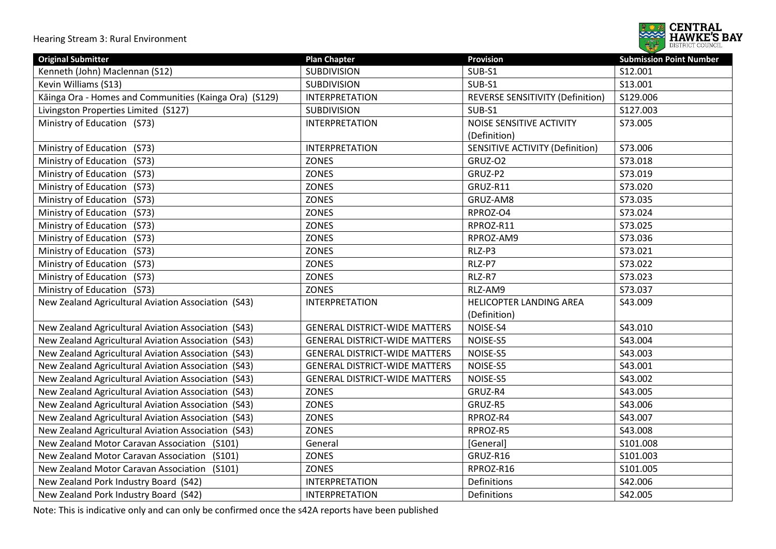

| <b>Original Submitter</b>                              | <b>Plan Chapter</b>                  | <b>Provision</b>                 | <b>Submission Point Number</b> |
|--------------------------------------------------------|--------------------------------------|----------------------------------|--------------------------------|
| Kenneth (John) Maclennan (S12)                         | <b>SUBDIVISION</b>                   | SUB-S1                           | S12.001                        |
| Kevin Williams (S13)                                   | <b>SUBDIVISION</b>                   | SUB-S1                           | S13.001                        |
| Kāinga Ora - Homes and Communities (Kainga Ora) (S129) | <b>INTERPRETATION</b>                | REVERSE SENSITIVITY (Definition) | S129.006                       |
| Livingston Properties Limited (S127)                   | <b>SUBDIVISION</b>                   | SUB-S1                           | S127.003                       |
| Ministry of Education (S73)                            | <b>INTERPRETATION</b>                | NOISE SENSITIVE ACTIVITY         | S73.005                        |
|                                                        |                                      | (Definition)                     |                                |
| Ministry of Education<br>(S73)                         | <b>INTERPRETATION</b>                | SENSITIVE ACTIVITY (Definition)  | S73.006                        |
| Ministry of Education<br>(S73)                         | ZONES                                | GRUZ-O2                          | S73.018                        |
| Ministry of Education<br>(S73)                         | ZONES                                | GRUZ-P2                          | S73.019                        |
| Ministry of Education<br>(S73)                         | ZONES                                | GRUZ-R11                         | S73.020                        |
| Ministry of Education<br>(S73)                         | ZONES                                | GRUZ-AM8                         | S73.035                        |
| Ministry of Education<br>(S73)                         | ZONES                                | RPROZ-O4                         | S73.024                        |
| Ministry of Education<br>(S73)                         | ZONES                                | RPROZ-R11                        | S73.025                        |
| Ministry of Education<br>(S73)                         | ZONES                                | RPROZ-AM9                        | S73.036                        |
| Ministry of Education<br>(S73)                         | <b>ZONES</b>                         | RLZ-P3                           | S73.021                        |
| Ministry of Education<br>(S73)                         | ZONES                                | RLZ-P7                           | S73.022                        |
| Ministry of Education<br>(S73)                         | ZONES                                | RLZ-R7                           | S73.023                        |
| Ministry of Education (S73)                            | <b>ZONES</b>                         | RLZ-AM9                          | S73.037                        |
| New Zealand Agricultural Aviation Association (S43)    | <b>INTERPRETATION</b>                | <b>HELICOPTER LANDING AREA</b>   | S43.009                        |
|                                                        |                                      | (Definition)                     |                                |
| New Zealand Agricultural Aviation Association (S43)    | <b>GENERAL DISTRICT-WIDE MATTERS</b> | NOISE-S4                         | S43.010                        |
| New Zealand Agricultural Aviation Association (S43)    | <b>GENERAL DISTRICT-WIDE MATTERS</b> | NOISE-S5                         | S43.004                        |
| New Zealand Agricultural Aviation Association (S43)    | <b>GENERAL DISTRICT-WIDE MATTERS</b> | NOISE-S5                         | S43.003                        |
| New Zealand Agricultural Aviation Association (S43)    | <b>GENERAL DISTRICT-WIDE MATTERS</b> | NOISE-S5                         | S43.001                        |
| New Zealand Agricultural Aviation Association (S43)    | <b>GENERAL DISTRICT-WIDE MATTERS</b> | NOISE-S5                         | S43.002                        |
| New Zealand Agricultural Aviation Association (S43)    | <b>ZONES</b>                         | GRUZ-R4                          | S43.005                        |
| New Zealand Agricultural Aviation Association (S43)    | <b>ZONES</b>                         | GRUZ-R5                          | S43.006                        |
| New Zealand Agricultural Aviation Association (S43)    | <b>ZONES</b>                         | RPROZ-R4                         | S43.007                        |
| New Zealand Agricultural Aviation Association (S43)    | <b>ZONES</b>                         | RPROZ-R5                         | S43.008                        |
| New Zealand Motor Caravan Association (S101)           | General                              | [General]                        | S101.008                       |
| New Zealand Motor Caravan Association (S101)           | ZONES                                | GRUZ-R16                         | S101.003                       |
| New Zealand Motor Caravan Association (S101)           | <b>ZONES</b>                         | RPROZ-R16                        | S101.005                       |
| New Zealand Pork Industry Board (S42)                  | <b>INTERPRETATION</b>                | Definitions                      | S42.006                        |
| New Zealand Pork Industry Board (S42)                  | <b>INTERPRETATION</b>                | Definitions                      | S42.005                        |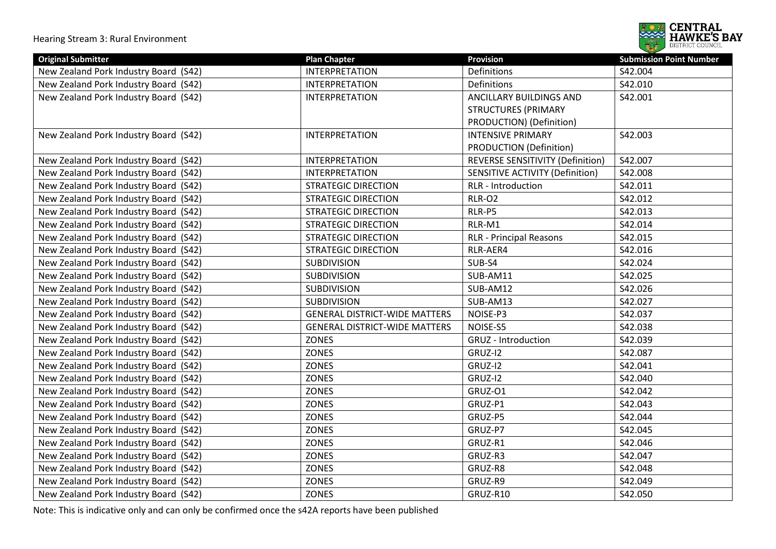

| <b>Original Submitter</b>             | <b>Plan Chapter</b>                  | <b>Provision</b>                 | <b>Submission Point Number</b> |
|---------------------------------------|--------------------------------------|----------------------------------|--------------------------------|
| New Zealand Pork Industry Board (S42) | <b>INTERPRETATION</b>                | Definitions                      | S42.004                        |
| New Zealand Pork Industry Board (S42) | <b>INTERPRETATION</b>                | Definitions                      | S42.010                        |
| New Zealand Pork Industry Board (S42) | <b>INTERPRETATION</b>                | ANCILLARY BUILDINGS AND          | S42.001                        |
|                                       |                                      | <b>STRUCTURES (PRIMARY</b>       |                                |
|                                       |                                      | PRODUCTION) (Definition)         |                                |
| New Zealand Pork Industry Board (S42) | <b>INTERPRETATION</b>                | <b>INTENSIVE PRIMARY</b>         | S42.003                        |
|                                       |                                      | PRODUCTION (Definition)          |                                |
| New Zealand Pork Industry Board (S42) | <b>INTERPRETATION</b>                | REVERSE SENSITIVITY (Definition) | S42.007                        |
| New Zealand Pork Industry Board (S42) | <b>INTERPRETATION</b>                | SENSITIVE ACTIVITY (Definition)  | S42.008                        |
| New Zealand Pork Industry Board (S42) | <b>STRATEGIC DIRECTION</b>           | RLR - Introduction               | S42.011                        |
| New Zealand Pork Industry Board (S42) | <b>STRATEGIC DIRECTION</b>           | <b>RLR-O2</b>                    | S42.012                        |
| New Zealand Pork Industry Board (S42) | <b>STRATEGIC DIRECTION</b>           | RLR-P5                           | S42.013                        |
| New Zealand Pork Industry Board (S42) | <b>STRATEGIC DIRECTION</b>           | RLR-M1                           | S42.014                        |
| New Zealand Pork Industry Board (S42) | <b>STRATEGIC DIRECTION</b>           | <b>RLR - Principal Reasons</b>   | S42.015                        |
| New Zealand Pork Industry Board (S42) | <b>STRATEGIC DIRECTION</b>           | RLR-AER4                         | S42.016                        |
| New Zealand Pork Industry Board (S42) | <b>SUBDIVISION</b>                   | SUB-S4                           | S42.024                        |
| New Zealand Pork Industry Board (S42) | <b>SUBDIVISION</b>                   | SUB-AM11                         | S42.025                        |
| New Zealand Pork Industry Board (S42) | <b>SUBDIVISION</b>                   | SUB-AM12                         | S42.026                        |
| New Zealand Pork Industry Board (S42) | <b>SUBDIVISION</b>                   | SUB-AM13                         | S42.027                        |
| New Zealand Pork Industry Board (S42) | <b>GENERAL DISTRICT-WIDE MATTERS</b> | NOISE-P3                         | S42.037                        |
| New Zealand Pork Industry Board (S42) | <b>GENERAL DISTRICT-WIDE MATTERS</b> | NOISE-S5                         | S42.038                        |
| New Zealand Pork Industry Board (S42) | <b>ZONES</b>                         | <b>GRUZ</b> - Introduction       | S42.039                        |
| New Zealand Pork Industry Board (S42) | <b>ZONES</b>                         | GRUZ-I2                          | S42.087                        |
| New Zealand Pork Industry Board (S42) | ZONES                                | GRUZ-I2                          | S42.041                        |
| New Zealand Pork Industry Board (S42) | <b>ZONES</b>                         | GRUZ-I2                          | S42.040                        |
| New Zealand Pork Industry Board (S42) | <b>ZONES</b>                         | GRUZ-O1                          | S42.042                        |
| New Zealand Pork Industry Board (S42) | <b>ZONES</b>                         | GRUZ-P1                          | S42.043                        |
| New Zealand Pork Industry Board (S42) | <b>ZONES</b>                         | GRUZ-P5                          | S42.044                        |
| New Zealand Pork Industry Board (S42) | <b>ZONES</b>                         | GRUZ-P7                          | S42.045                        |
| New Zealand Pork Industry Board (S42) | ZONES                                | GRUZ-R1                          | S42.046                        |
| New Zealand Pork Industry Board (S42) | <b>ZONES</b>                         | GRUZ-R3                          | S42.047                        |
| New Zealand Pork Industry Board (S42) | ZONES                                | GRUZ-R8                          | S42.048                        |
| New Zealand Pork Industry Board (S42) | ZONES                                | GRUZ-R9                          | S42.049                        |
| New Zealand Pork Industry Board (S42) | ZONES                                | GRUZ-R10                         | S42.050                        |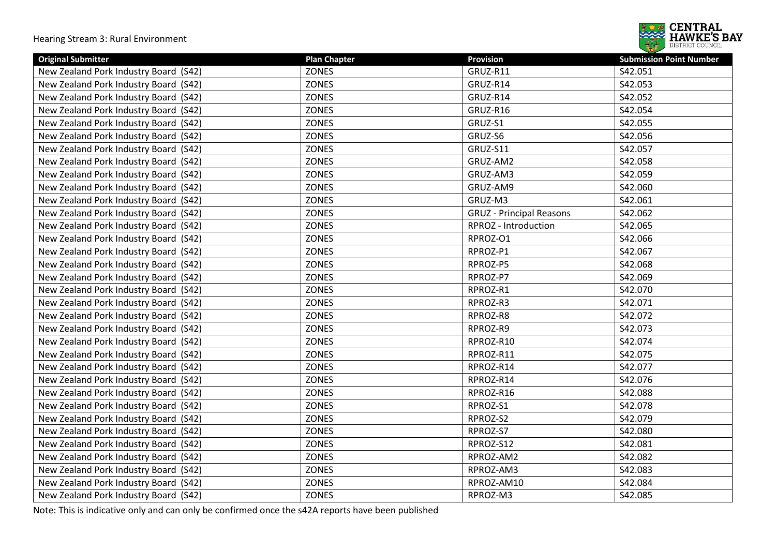

| <b>Original Submitter</b>             | <b>Plan Chapter</b> | <b>Provision</b>                | <b>Submission Point Number</b> |
|---------------------------------------|---------------------|---------------------------------|--------------------------------|
| New Zealand Pork Industry Board (S42) | <b>ZONES</b>        | GRUZ-R11                        | S42.051                        |
| New Zealand Pork Industry Board (S42) | <b>ZONES</b>        | GRUZ-R14                        | S42.053                        |
| New Zealand Pork Industry Board (S42) | <b>ZONES</b>        | GRUZ-R14                        | S42.052                        |
| New Zealand Pork Industry Board (S42) | ZONES               | GRUZ-R16                        | S42.054                        |
| New Zealand Pork Industry Board (S42) | <b>ZONES</b>        | GRUZ-S1                         | S42.055                        |
| New Zealand Pork Industry Board (S42) | <b>ZONES</b>        | GRUZ-S6                         | S42.056                        |
| New Zealand Pork Industry Board (S42) | <b>ZONES</b>        | GRUZ-S11                        | S42.057                        |
| New Zealand Pork Industry Board (S42) | <b>ZONES</b>        | GRUZ-AM2                        | S42.058                        |
| New Zealand Pork Industry Board (S42) | <b>ZONES</b>        | GRUZ-AM3                        | S42.059                        |
| New Zealand Pork Industry Board (S42) | <b>ZONES</b>        | GRUZ-AM9                        | S42.060                        |
| New Zealand Pork Industry Board (S42) | <b>ZONES</b>        | GRUZ-M3                         | S42.061                        |
| New Zealand Pork Industry Board (S42) | <b>ZONES</b>        | <b>GRUZ</b> - Principal Reasons | S42.062                        |
| New Zealand Pork Industry Board (S42) | <b>ZONES</b>        | RPROZ - Introduction            | S42.065                        |
| New Zealand Pork Industry Board (S42) | <b>ZONES</b>        | RPROZ-O1                        | S42.066                        |
| New Zealand Pork Industry Board (S42) | <b>ZONES</b>        | RPROZ-P1                        | S42.067                        |
| New Zealand Pork Industry Board (S42) | <b>ZONES</b>        | RPROZ-P5                        | S42.068                        |
| New Zealand Pork Industry Board (S42) | <b>ZONES</b>        | RPROZ-P7                        | S42.069                        |
| New Zealand Pork Industry Board (S42) | <b>ZONES</b>        | RPROZ-R1                        | S42.070                        |
| New Zealand Pork Industry Board (S42) | <b>ZONES</b>        | RPROZ-R3                        | S42.071                        |
| New Zealand Pork Industry Board (S42) | ZONES               | RPROZ-R8                        | S42.072                        |
| New Zealand Pork Industry Board (S42) | <b>ZONES</b>        | RPROZ-R9                        | S42.073                        |
| New Zealand Pork Industry Board (S42) | <b>ZONES</b>        | RPROZ-R10                       | S42.074                        |
| New Zealand Pork Industry Board (S42) | <b>ZONES</b>        | RPROZ-R11                       | S42.075                        |
| New Zealand Pork Industry Board (S42) | <b>ZONES</b>        | RPROZ-R14                       | S42.077                        |
| New Zealand Pork Industry Board (S42) | <b>ZONES</b>        | RPROZ-R14                       | S42.076                        |
| New Zealand Pork Industry Board (S42) | <b>ZONES</b>        | RPROZ-R16                       | S42.088                        |
| New Zealand Pork Industry Board (S42) | <b>ZONES</b>        | RPROZ-S1                        | S42.078                        |
| New Zealand Pork Industry Board (S42) | ZONES               | RPROZ-S2                        | S42.079                        |
| New Zealand Pork Industry Board (S42) | <b>ZONES</b>        | RPROZ-S7                        | S42.080                        |
| New Zealand Pork Industry Board (S42) | <b>ZONES</b>        | RPROZ-S12                       | S42.081                        |
| New Zealand Pork Industry Board (S42) | <b>ZONES</b>        | RPROZ-AM2                       | S42.082                        |
| New Zealand Pork Industry Board (S42) | <b>ZONES</b>        | RPROZ-AM3                       | S42.083                        |
| New Zealand Pork Industry Board (S42) | ZONES               | RPROZ-AM10                      | S42.084                        |
| New Zealand Pork Industry Board (S42) | ZONES               | RPROZ-M3                        | S42.085                        |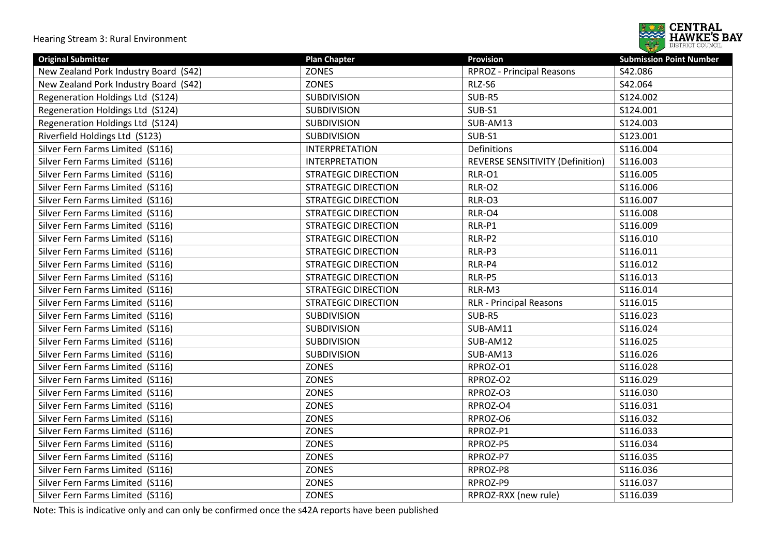

| <b>Original Submitter</b>             | <b>Plan Chapter</b>        | <b>Provision</b>                 | <b>Submission Point Number</b> |
|---------------------------------------|----------------------------|----------------------------------|--------------------------------|
| New Zealand Pork Industry Board (S42) | <b>ZONES</b>               | <b>RPROZ</b> - Principal Reasons | S42.086                        |
| New Zealand Pork Industry Board (S42) | <b>ZONES</b>               | RLZ-S6                           | S42.064                        |
| Regeneration Holdings Ltd (S124)      | <b>SUBDIVISION</b>         | SUB-R5                           | S124.002                       |
| Regeneration Holdings Ltd (S124)      | SUBDIVISION                | SUB-S1                           | S124.001                       |
| Regeneration Holdings Ltd (S124)      | <b>SUBDIVISION</b>         | SUB-AM13                         | S124.003                       |
| Riverfield Holdings Ltd (S123)        | <b>SUBDIVISION</b>         | SUB-S1                           | S123.001                       |
| Silver Fern Farms Limited (S116)      | <b>INTERPRETATION</b>      | Definitions                      | S116.004                       |
| Silver Fern Farms Limited (S116)      | <b>INTERPRETATION</b>      | REVERSE SENSITIVITY (Definition) | S116.003                       |
| Silver Fern Farms Limited (S116)      | <b>STRATEGIC DIRECTION</b> | <b>RLR-01</b>                    | S116.005                       |
| Silver Fern Farms Limited (S116)      | <b>STRATEGIC DIRECTION</b> | <b>RLR-O2</b>                    | S116.006                       |
| Silver Fern Farms Limited (S116)      | <b>STRATEGIC DIRECTION</b> | RLR-O3                           | S116.007                       |
| Silver Fern Farms Limited (S116)      | <b>STRATEGIC DIRECTION</b> | RLR-O4                           | S116.008                       |
| Silver Fern Farms Limited (S116)      | <b>STRATEGIC DIRECTION</b> | RLR-P1                           | S116.009                       |
| Silver Fern Farms Limited (S116)      | <b>STRATEGIC DIRECTION</b> | RLR-P2                           | S116.010                       |
| Silver Fern Farms Limited (S116)      | <b>STRATEGIC DIRECTION</b> | RLR-P3                           | S116.011                       |
| Silver Fern Farms Limited (S116)      | <b>STRATEGIC DIRECTION</b> | RLR-P4                           | S116.012                       |
| Silver Fern Farms Limited (S116)      | <b>STRATEGIC DIRECTION</b> | RLR-P5                           | S116.013                       |
| Silver Fern Farms Limited (S116)      | <b>STRATEGIC DIRECTION</b> | RLR-M3                           | S116.014                       |
| Silver Fern Farms Limited (S116)      | <b>STRATEGIC DIRECTION</b> | <b>RLR - Principal Reasons</b>   | S116.015                       |
| Silver Fern Farms Limited (S116)      | <b>SUBDIVISION</b>         | SUB-R5                           | S116.023                       |
| Silver Fern Farms Limited (S116)      | <b>SUBDIVISION</b>         | SUB-AM11                         | S116.024                       |
| Silver Fern Farms Limited (S116)      | <b>SUBDIVISION</b>         | SUB-AM12                         | S116.025                       |
| Silver Fern Farms Limited (S116)      | <b>SUBDIVISION</b>         | SUB-AM13                         | S116.026                       |
| Silver Fern Farms Limited (S116)      | <b>ZONES</b>               | RPROZ-O1                         | S116.028                       |
| Silver Fern Farms Limited (S116)      | <b>ZONES</b>               | RPROZ-O2                         | S116.029                       |
| Silver Fern Farms Limited (S116)      | <b>ZONES</b>               | RPROZ-O3                         | S116.030                       |
| Silver Fern Farms Limited (S116)      | <b>ZONES</b>               | RPROZ-O4                         | S116.031                       |
| Silver Fern Farms Limited (S116)      | <b>ZONES</b>               | RPROZ-O6                         | S116.032                       |
| Silver Fern Farms Limited (S116)      | <b>ZONES</b>               | RPROZ-P1                         | S116.033                       |
| Silver Fern Farms Limited (S116)      | <b>ZONES</b>               | RPROZ-P5                         | S116.034                       |
| Silver Fern Farms Limited (S116)      | <b>ZONES</b>               | RPROZ-P7                         | S116.035                       |
| Silver Fern Farms Limited (S116)      | <b>ZONES</b>               | RPROZ-P8                         | S116.036                       |
| Silver Fern Farms Limited (S116)      | <b>ZONES</b>               | RPROZ-P9                         | S116.037                       |
| Silver Fern Farms Limited (S116)      | <b>ZONES</b>               | RPROZ-RXX (new rule)             | S116.039                       |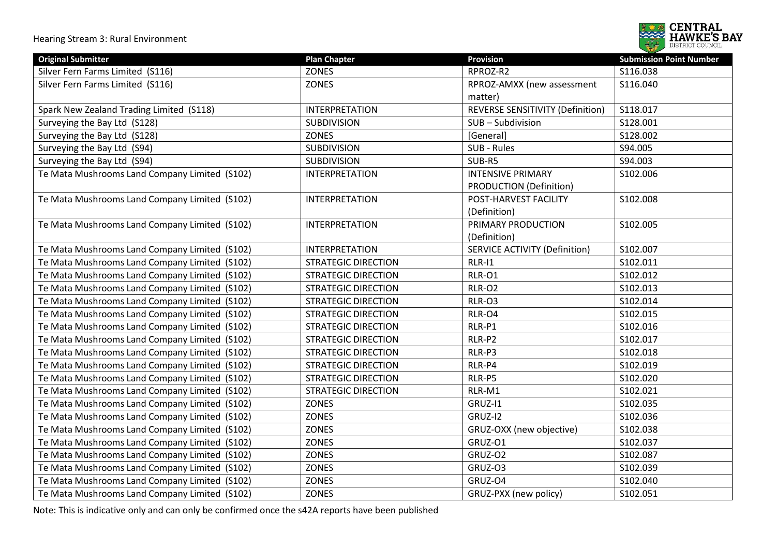

| <b>Original Submitter</b>                        | <b>Plan Chapter</b>        | <b>Provision</b>                     | <b>Submission Point Number</b> |
|--------------------------------------------------|----------------------------|--------------------------------------|--------------------------------|
| Silver Fern Farms Limited (S116)                 | <b>ZONES</b>               | RPROZ-R2                             | S116.038                       |
| Silver Fern Farms Limited (S116)                 | ZONES                      | RPROZ-AMXX (new assessment           | S116.040                       |
|                                                  |                            | matter)                              |                                |
| Spark New Zealand Trading Limited (S118)         | <b>INTERPRETATION</b>      | REVERSE SENSITIVITY (Definition)     | S118.017                       |
| Surveying the Bay Ltd (S128)                     | <b>SUBDIVISION</b>         | SUB-Subdivision                      | S128.001                       |
| Surveying the Bay Ltd (S128)                     | ZONES                      | [General]                            | S128.002                       |
| Surveying the Bay Ltd (S94)                      | <b>SUBDIVISION</b>         | SUB - Rules                          | S94.005                        |
| Surveying the Bay Ltd (S94)                      | <b>SUBDIVISION</b>         | SUB-R5                               | S94.003                        |
| Te Mata Mushrooms Land Company Limited (S102)    | <b>INTERPRETATION</b>      | <b>INTENSIVE PRIMARY</b>             | S102.006                       |
|                                                  |                            | <b>PRODUCTION (Definition)</b>       |                                |
| Te Mata Mushrooms Land Company Limited (S102)    | <b>INTERPRETATION</b>      | POST-HARVEST FACILITY                | S102.008                       |
|                                                  |                            | (Definition)                         |                                |
| Te Mata Mushrooms Land Company Limited (S102)    | <b>INTERPRETATION</b>      | PRIMARY PRODUCTION                   | S102.005                       |
|                                                  |                            | (Definition)                         |                                |
| Te Mata Mushrooms Land Company Limited (S102)    | <b>INTERPRETATION</b>      | <b>SERVICE ACTIVITY (Definition)</b> | S102.007                       |
| Te Mata Mushrooms Land Company Limited (S102)    | <b>STRATEGIC DIRECTION</b> | RLR-I1                               | S102.011                       |
| Te Mata Mushrooms Land Company Limited<br>(S102) | <b>STRATEGIC DIRECTION</b> | RLR-O1                               | S102.012                       |
| Te Mata Mushrooms Land Company Limited<br>(S102) | <b>STRATEGIC DIRECTION</b> | <b>RLR-O2</b>                        | S102.013                       |
| Te Mata Mushrooms Land Company Limited<br>(S102) | <b>STRATEGIC DIRECTION</b> | RLR-O3                               | S102.014                       |
| Te Mata Mushrooms Land Company Limited<br>(S102) | <b>STRATEGIC DIRECTION</b> | RLR-O4                               | S102.015                       |
| Te Mata Mushrooms Land Company Limited<br>(S102) | <b>STRATEGIC DIRECTION</b> | RLR-P1                               | S102.016                       |
| Te Mata Mushrooms Land Company Limited<br>(S102) | <b>STRATEGIC DIRECTION</b> | RLR-P2                               | S102.017                       |
| Te Mata Mushrooms Land Company Limited<br>(S102) | <b>STRATEGIC DIRECTION</b> | RLR-P3                               | S102.018                       |
| Te Mata Mushrooms Land Company Limited<br>(S102) | <b>STRATEGIC DIRECTION</b> | RLR-P4                               | S102.019                       |
| Te Mata Mushrooms Land Company Limited<br>(S102) | <b>STRATEGIC DIRECTION</b> | RLR-P5                               | S102.020                       |
| Te Mata Mushrooms Land Company Limited<br>(S102) | <b>STRATEGIC DIRECTION</b> | RLR-M1                               | S102.021                       |
| Te Mata Mushrooms Land Company Limited<br>(S102) | ZONES                      | GRUZ-I1                              | S102.035                       |
| Te Mata Mushrooms Land Company Limited<br>(S102) | <b>ZONES</b>               | GRUZ-I2                              | S102.036                       |
| Te Mata Mushrooms Land Company Limited<br>(S102) | <b>ZONES</b>               | GRUZ-OXX (new objective)             | S102.038                       |
| Te Mata Mushrooms Land Company Limited<br>(S102) | ZONES                      | GRUZ-O1                              | S102.037                       |
| Te Mata Mushrooms Land Company Limited<br>(S102) | ZONES                      | GRUZ-O2                              | S102.087                       |
| Te Mata Mushrooms Land Company Limited<br>(S102) | ZONES                      | GRUZ-O3                              | S102.039                       |
| Te Mata Mushrooms Land Company Limited<br>(5102) | ZONES                      | GRUZ-O4                              | S102.040                       |
| Te Mata Mushrooms Land Company Limited<br>(S102) | ZONES                      | GRUZ-PXX (new policy)                | S102.051                       |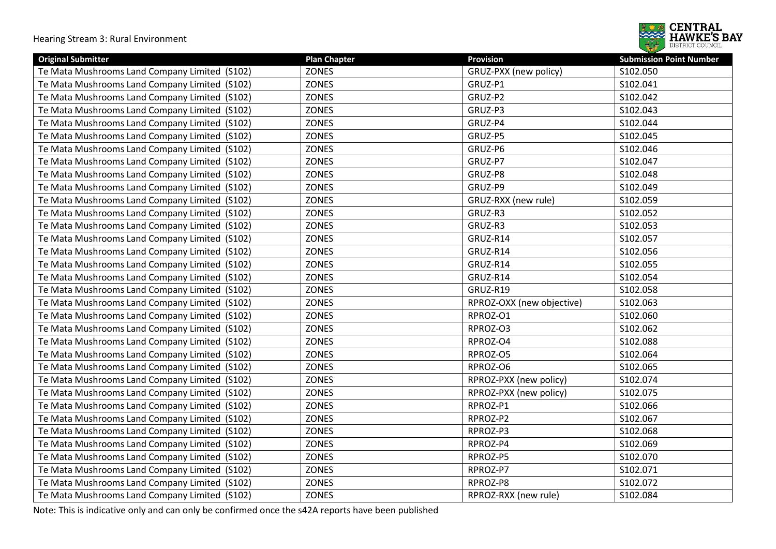

| <b>Original Submitter</b>                        | <b>Plan Chapter</b> | <b>Provision</b>          | <b>Submission Point Number</b> |
|--------------------------------------------------|---------------------|---------------------------|--------------------------------|
| Te Mata Mushrooms Land Company Limited (S102)    | <b>ZONES</b>        | GRUZ-PXX (new policy)     | S102.050                       |
| Te Mata Mushrooms Land Company Limited (S102)    | <b>ZONES</b>        | GRUZ-P1                   | S102.041                       |
| Te Mata Mushrooms Land Company Limited (S102)    | <b>ZONES</b>        | GRUZ-P2                   | S102.042                       |
| Te Mata Mushrooms Land Company Limited (S102)    | <b>ZONES</b>        | GRUZ-P3                   | S102.043                       |
| Te Mata Mushrooms Land Company Limited<br>(S102) | <b>ZONES</b>        | GRUZ-P4                   | S102.044                       |
| Te Mata Mushrooms Land Company Limited (S102)    | <b>ZONES</b>        | GRUZ-P5                   | S102.045                       |
| Te Mata Mushrooms Land Company Limited (S102)    | <b>ZONES</b>        | GRUZ-P6                   | S102.046                       |
| Te Mata Mushrooms Land Company Limited (S102)    | <b>ZONES</b>        | GRUZ-P7                   | S102.047                       |
| Te Mata Mushrooms Land Company Limited (S102)    | <b>ZONES</b>        | GRUZ-P8                   | S102.048                       |
| Te Mata Mushrooms Land Company Limited<br>(S102) | <b>ZONES</b>        | GRUZ-P9                   | S102.049                       |
| Te Mata Mushrooms Land Company Limited<br>(S102) | <b>ZONES</b>        | GRUZ-RXX (new rule)       | S102.059                       |
| Te Mata Mushrooms Land Company Limited<br>(S102) | <b>ZONES</b>        | GRUZ-R3                   | S102.052                       |
| Te Mata Mushrooms Land Company Limited (S102)    | <b>ZONES</b>        | GRUZ-R3                   | S102.053                       |
| Te Mata Mushrooms Land Company Limited (S102)    | <b>ZONES</b>        | GRUZ-R14                  | S102.057                       |
| Te Mata Mushrooms Land Company Limited (S102)    | <b>ZONES</b>        | GRUZ-R14                  | S102.056                       |
| Te Mata Mushrooms Land Company Limited (S102)    | <b>ZONES</b>        | GRUZ-R14                  | S102.055                       |
| Te Mata Mushrooms Land Company Limited (S102)    | <b>ZONES</b>        | GRUZ-R14                  | S102.054                       |
| Te Mata Mushrooms Land Company Limited (S102)    | <b>ZONES</b>        | GRUZ-R19                  | S102.058                       |
| Te Mata Mushrooms Land Company Limited (S102)    | <b>ZONES</b>        | RPROZ-OXX (new objective) | S102.063                       |
| Te Mata Mushrooms Land Company Limited<br>(S102) | <b>ZONES</b>        | RPROZ-O1                  | S102.060                       |
| Te Mata Mushrooms Land Company Limited (S102)    | <b>ZONES</b>        | RPROZ-O3                  | S102.062                       |
| Te Mata Mushrooms Land Company Limited (S102)    | <b>ZONES</b>        | RPROZ-O4                  | S102.088                       |
| Te Mata Mushrooms Land Company Limited (S102)    | <b>ZONES</b>        | RPROZ-O5                  | S102.064                       |
| Te Mata Mushrooms Land Company Limited (S102)    | <b>ZONES</b>        | RPROZ-O6                  | S102.065                       |
| Te Mata Mushrooms Land Company Limited<br>(S102) | <b>ZONES</b>        | RPROZ-PXX (new policy)    | S102.074                       |
| Te Mata Mushrooms Land Company Limited (S102)    | <b>ZONES</b>        | RPROZ-PXX (new policy)    | S102.075                       |
| Te Mata Mushrooms Land Company Limited<br>(S102) | <b>ZONES</b>        | RPROZ-P1                  | S102.066                       |
| Te Mata Mushrooms Land Company Limited (S102)    | <b>ZONES</b>        | RPROZ-P2                  | S102.067                       |
| Te Mata Mushrooms Land Company Limited (S102)    | <b>ZONES</b>        | RPROZ-P3                  | S102.068                       |
| Te Mata Mushrooms Land Company Limited (S102)    | <b>ZONES</b>        | RPROZ-P4                  | S102.069                       |
| Te Mata Mushrooms Land Company Limited (S102)    | <b>ZONES</b>        | RPROZ-P5                  | S102.070                       |
| Te Mata Mushrooms Land Company Limited (S102)    | <b>ZONES</b>        | RPROZ-P7                  | S102.071                       |
| Te Mata Mushrooms Land Company Limited (S102)    | <b>ZONES</b>        | RPROZ-P8                  | S102.072                       |
| Te Mata Mushrooms Land Company Limited (S102)    | <b>ZONES</b>        | RPROZ-RXX (new rule)      | S102.084                       |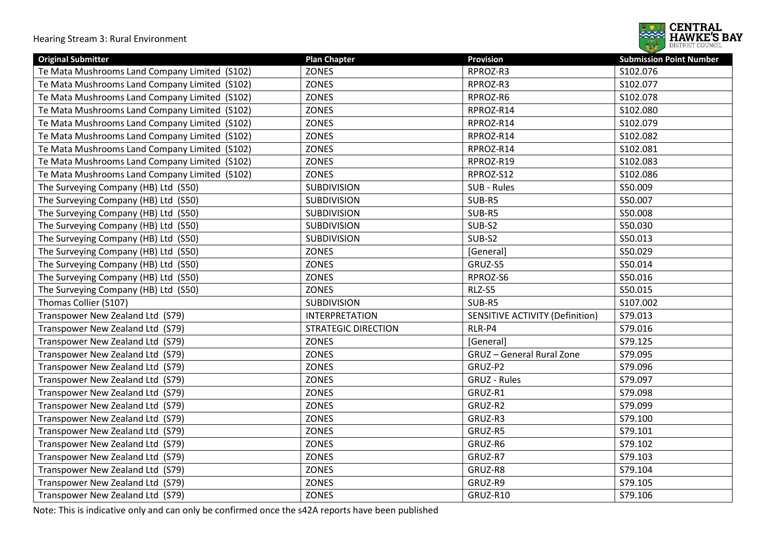

| <b>Original Submitter</b>                     | <b>Plan Chapter</b>        | <b>Provision</b>                       | <b>Submission Point Number</b> |
|-----------------------------------------------|----------------------------|----------------------------------------|--------------------------------|
| Te Mata Mushrooms Land Company Limited (S102) | <b>ZONES</b>               | RPROZ-R3                               | S102.076                       |
| Te Mata Mushrooms Land Company Limited (S102) | <b>ZONES</b>               | RPROZ-R3                               | S102.077                       |
| Te Mata Mushrooms Land Company Limited (S102) | ZONES                      | RPROZ-R6                               | S102.078                       |
| Te Mata Mushrooms Land Company Limited (S102) | ZONES                      | RPROZ-R14                              | S102.080                       |
| Te Mata Mushrooms Land Company Limited (S102) | ZONES                      | RPROZ-R14                              | S102.079                       |
| Te Mata Mushrooms Land Company Limited (S102) | ZONES                      | RPROZ-R14                              | S102.082                       |
| Te Mata Mushrooms Land Company Limited (S102) | <b>ZONES</b>               | RPROZ-R14                              | S102.081                       |
| Te Mata Mushrooms Land Company Limited (S102) | <b>ZONES</b>               | RPROZ-R19                              | S102.083                       |
| Te Mata Mushrooms Land Company Limited (S102) | <b>ZONES</b>               | RPROZ-S12                              | S102.086                       |
| The Surveying Company (HB) Ltd (S50)          | <b>SUBDIVISION</b>         | SUB - Rules                            | S50.009                        |
| The Surveying Company (HB) Ltd (S50)          | <b>SUBDIVISION</b>         | SUB-R5                                 | S50.007                        |
| The Surveying Company (HB) Ltd (S50)          | <b>SUBDIVISION</b>         | SUB-R5                                 | S50.008                        |
| The Surveying Company (HB) Ltd (S50)          | <b>SUBDIVISION</b>         | SUB-S2                                 | S50.030                        |
| The Surveying Company (HB) Ltd (S50)          | SUBDIVISION                | SUB-S2                                 | S50.013                        |
| The Surveying Company (HB) Ltd (S50)          | ZONES                      | [General]                              | S50.029                        |
| The Surveying Company (HB) Ltd (S50)          | ZONES                      | GRUZ-S5                                | S50.014                        |
| The Surveying Company (HB) Ltd (S50)          | <b>ZONES</b>               | RPROZ-S6                               | S50.016                        |
| The Surveying Company (HB) Ltd (S50)          | ZONES                      | RLZ-S5                                 | S50.015                        |
| Thomas Collier (S107)                         | <b>SUBDIVISION</b>         | SUB-R5                                 | S107.002                       |
| Transpower New Zealand Ltd (S79)              | <b>INTERPRETATION</b>      | <b>SENSITIVE ACTIVITY (Definition)</b> | S79.013                        |
| Transpower New Zealand Ltd (S79)              | <b>STRATEGIC DIRECTION</b> | RLR-P4                                 | S79.016                        |
| Transpower New Zealand Ltd (S79)              | ZONES                      | [General]                              | S79.125                        |
| Transpower New Zealand Ltd (S79)              | ZONES                      | <b>GRUZ</b> - General Rural Zone       | S79.095                        |
| Transpower New Zealand Ltd (S79)              | ZONES                      | GRUZ-P2                                | S79.096                        |
| Transpower New Zealand Ltd (S79)              | ZONES                      | <b>GRUZ - Rules</b>                    | S79.097                        |
| Transpower New Zealand Ltd (S79)              | ZONES                      | GRUZ-R1                                | S79.098                        |
| Transpower New Zealand Ltd (S79)              | ZONES                      | GRUZ-R2                                | S79.099                        |
| Transpower New Zealand Ltd (S79)              | ZONES                      | GRUZ-R3                                | S79.100                        |
| Transpower New Zealand Ltd (S79)              | <b>ZONES</b>               | GRUZ-R5                                | S79.101                        |
| Transpower New Zealand Ltd (S79)              | <b>ZONES</b>               | GRUZ-R6                                | S79.102                        |
| Transpower New Zealand Ltd (S79)              | <b>ZONES</b>               | GRUZ-R7                                | S79.103                        |
| Transpower New Zealand Ltd (S79)              | <b>ZONES</b>               | GRUZ-R8                                | S79.104                        |
| Transpower New Zealand Ltd (S79)              | <b>ZONES</b>               | GRUZ-R9                                | S79.105                        |
| Transpower New Zealand Ltd (S79)              | ZONES                      | GRUZ-R10                               | S79.106                        |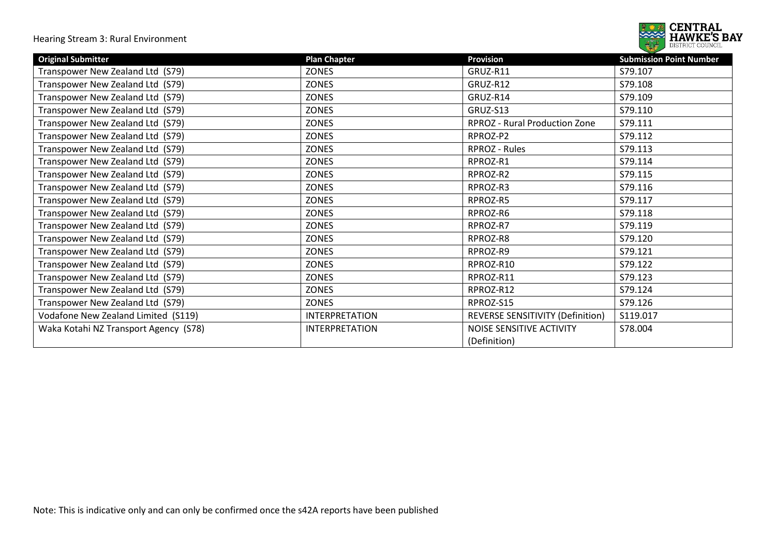

| <b>Original Submitter</b>             | <b>Plan Chapter</b>   | <b>Provision</b>                        | <b>Submission Point Number</b> |
|---------------------------------------|-----------------------|-----------------------------------------|--------------------------------|
| Transpower New Zealand Ltd (S79)      | <b>ZONES</b>          | GRUZ-R11                                | S79.107                        |
| Transpower New Zealand Ltd (S79)      | ZONES                 | GRUZ-R12                                | S79.108                        |
| Transpower New Zealand Ltd (S79)      | <b>ZONES</b>          | GRUZ-R14                                | S79.109                        |
| Transpower New Zealand Ltd (S79)      | ZONES                 | GRUZ-S13                                | S79.110                        |
| Transpower New Zealand Ltd (S79)      | <b>ZONES</b>          | <b>RPROZ</b> - Rural Production Zone    | S79.111                        |
| Transpower New Zealand Ltd (S79)      | ZONES                 | RPROZ-P2                                | S79.112                        |
| Transpower New Zealand Ltd (S79)      | <b>ZONES</b>          | RPROZ - Rules                           | S79.113                        |
| Transpower New Zealand Ltd (S79)      | <b>ZONES</b>          | RPROZ-R1                                | S79.114                        |
| Transpower New Zealand Ltd (S79)      | ZONES                 | RPROZ-R2                                | S79.115                        |
| Transpower New Zealand Ltd (S79)      | <b>ZONES</b>          | RPROZ-R3                                | S79.116                        |
| Transpower New Zealand Ltd (S79)      | <b>ZONES</b>          | RPROZ-R5                                | S79.117                        |
| Transpower New Zealand Ltd (S79)      | ZONES                 | RPROZ-R6                                | S79.118                        |
| Transpower New Zealand Ltd (S79)      | ZONES                 | RPROZ-R7                                | S79.119                        |
| Transpower New Zealand Ltd (S79)      | ZONES                 | RPROZ-R8                                | S79.120                        |
| Transpower New Zealand Ltd (S79)      | ZONES                 | RPROZ-R9                                | S79.121                        |
| Transpower New Zealand Ltd (S79)      | <b>ZONES</b>          | RPROZ-R10                               | S79.122                        |
| Transpower New Zealand Ltd (S79)      | <b>ZONES</b>          | RPROZ-R11                               | S79.123                        |
| Transpower New Zealand Ltd (S79)      | ZONES                 | RPROZ-R12                               | S79.124                        |
| Transpower New Zealand Ltd (S79)      | ZONES                 | RPROZ-S15                               | S79.126                        |
| Vodafone New Zealand Limited (S119)   | <b>INTERPRETATION</b> | <b>REVERSE SENSITIVITY (Definition)</b> | S119.017                       |
| Waka Kotahi NZ Transport Agency (S78) | <b>INTERPRETATION</b> | NOISE SENSITIVE ACTIVITY                | S78.004                        |
|                                       |                       | (Definition)                            |                                |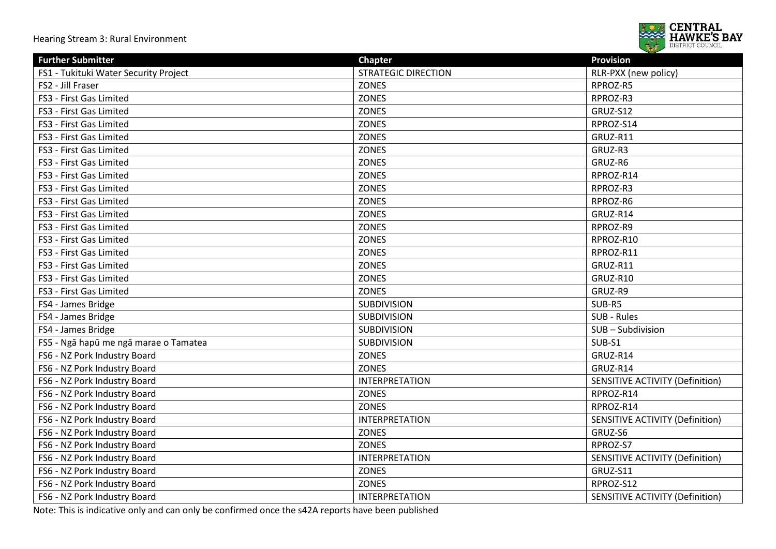

| <b>Further Submitter</b>              | <b>Chapter</b>             | <b>Provision</b>                       |
|---------------------------------------|----------------------------|----------------------------------------|
| FS1 - Tukituki Water Security Project | <b>STRATEGIC DIRECTION</b> | RLR-PXX (new policy)                   |
| FS2 - Jill Fraser                     | <b>ZONES</b>               | RPROZ-R5                               |
| FS3 - First Gas Limited               | <b>ZONES</b>               | RPROZ-R3                               |
| FS3 - First Gas Limited               | <b>ZONES</b>               | <b>GRUZ-S12</b>                        |
| FS3 - First Gas Limited               | <b>ZONES</b>               | RPROZ-S14                              |
| FS3 - First Gas Limited               | ZONES                      | GRUZ-R11                               |
| FS3 - First Gas Limited               | ZONES                      | GRUZ-R3                                |
| FS3 - First Gas Limited               | <b>ZONES</b>               | GRUZ-R6                                |
| FS3 - First Gas Limited               | ZONES                      | RPROZ-R14                              |
| FS3 - First Gas Limited               | <b>ZONES</b>               | RPROZ-R3                               |
| FS3 - First Gas Limited               | <b>ZONES</b>               | RPROZ-R6                               |
| FS3 - First Gas Limited               | <b>ZONES</b>               | GRUZ-R14                               |
| FS3 - First Gas Limited               | <b>ZONES</b>               | RPROZ-R9                               |
| FS3 - First Gas Limited               | <b>ZONES</b>               | RPROZ-R10                              |
| FS3 - First Gas Limited               | <b>ZONES</b>               | RPROZ-R11                              |
| FS3 - First Gas Limited               | <b>ZONES</b>               | GRUZ-R11                               |
| FS3 - First Gas Limited               | <b>ZONES</b>               | GRUZ-R10                               |
| FS3 - First Gas Limited               | <b>ZONES</b>               | GRUZ-R9                                |
| FS4 - James Bridge                    | <b>SUBDIVISION</b>         | SUB-R5                                 |
| FS4 - James Bridge                    | SUBDIVISION                | SUB - Rules                            |
| FS4 - James Bridge                    | <b>SUBDIVISION</b>         | SUB-Subdivision                        |
| FS5 - Ngā hapū me ngā marae o Tamatea | <b>SUBDIVISION</b>         | SUB-S1                                 |
| FS6 - NZ Pork Industry Board          | <b>ZONES</b>               | GRUZ-R14                               |
| FS6 - NZ Pork Industry Board          | <b>ZONES</b>               | GRUZ-R14                               |
| FS6 - NZ Pork Industry Board          | <b>INTERPRETATION</b>      | <b>SENSITIVE ACTIVITY (Definition)</b> |
| FS6 - NZ Pork Industry Board          | <b>ZONES</b>               | RPROZ-R14                              |
| FS6 - NZ Pork Industry Board          | <b>ZONES</b>               | RPROZ-R14                              |
| FS6 - NZ Pork Industry Board          | <b>INTERPRETATION</b>      | SENSITIVE ACTIVITY (Definition)        |
| FS6 - NZ Pork Industry Board          | ZONES                      | GRUZ-S6                                |
| FS6 - NZ Pork Industry Board          | ZONES                      | RPROZ-S7                               |
| FS6 - NZ Pork Industry Board          | <b>INTERPRETATION</b>      | <b>SENSITIVE ACTIVITY (Definition)</b> |
| FS6 - NZ Pork Industry Board          | <b>ZONES</b>               | GRUZ-S11                               |
| FS6 - NZ Pork Industry Board          | <b>ZONES</b>               | RPROZ-S12                              |
| FS6 - NZ Pork Industry Board          | <b>INTERPRETATION</b>      | <b>SENSITIVE ACTIVITY (Definition)</b> |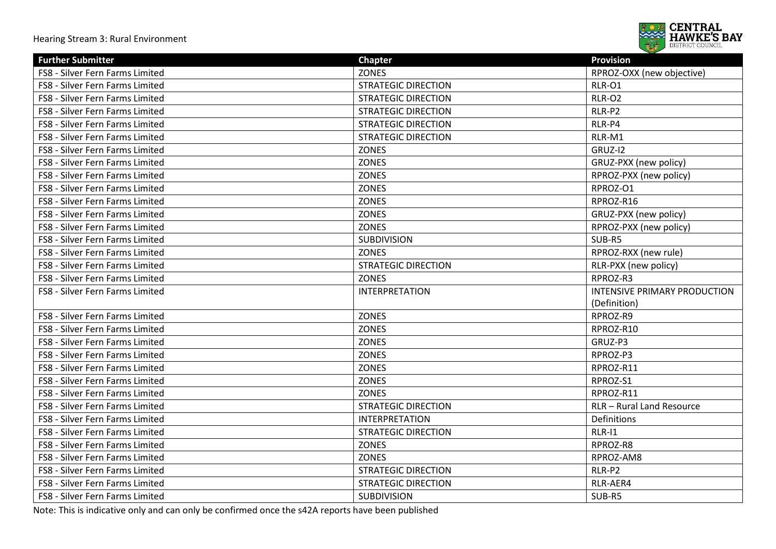

| <b>Further Submitter</b>        | <b>Chapter</b>             | <b>Provision</b>             |
|---------------------------------|----------------------------|------------------------------|
| FS8 - Silver Fern Farms Limited | <b>ZONES</b>               | RPROZ-OXX (new objective)    |
| FS8 - Silver Fern Farms Limited | <b>STRATEGIC DIRECTION</b> | RLR-O1                       |
| FS8 - Silver Fern Farms Limited | <b>STRATEGIC DIRECTION</b> | RLR-O2                       |
| FS8 - Silver Fern Farms Limited | <b>STRATEGIC DIRECTION</b> | RLR-P2                       |
| FS8 - Silver Fern Farms Limited | <b>STRATEGIC DIRECTION</b> | RLR-P4                       |
| FS8 - Silver Fern Farms Limited | <b>STRATEGIC DIRECTION</b> | RLR-M1                       |
| FS8 - Silver Fern Farms Limited | <b>ZONES</b>               | GRUZ-I2                      |
| FS8 - Silver Fern Farms Limited | <b>ZONES</b>               | GRUZ-PXX (new policy)        |
| FS8 - Silver Fern Farms Limited | <b>ZONES</b>               | RPROZ-PXX (new policy)       |
| FS8 - Silver Fern Farms Limited | <b>ZONES</b>               | RPROZ-O1                     |
| FS8 - Silver Fern Farms Limited | <b>ZONES</b>               | RPROZ-R16                    |
| FS8 - Silver Fern Farms Limited | <b>ZONES</b>               | GRUZ-PXX (new policy)        |
| FS8 - Silver Fern Farms Limited | <b>ZONES</b>               | RPROZ-PXX (new policy)       |
| FS8 - Silver Fern Farms Limited | <b>SUBDIVISION</b>         | SUB-R5                       |
| FS8 - Silver Fern Farms Limited | <b>ZONES</b>               | RPROZ-RXX (new rule)         |
| FS8 - Silver Fern Farms Limited | <b>STRATEGIC DIRECTION</b> | RLR-PXX (new policy)         |
| FS8 - Silver Fern Farms Limited | <b>ZONES</b>               | RPROZ-R3                     |
| FS8 - Silver Fern Farms Limited | <b>INTERPRETATION</b>      | INTENSIVE PRIMARY PRODUCTION |
|                                 |                            | (Definition)                 |
| FS8 - Silver Fern Farms Limited | <b>ZONES</b>               | RPROZ-R9                     |
| FS8 - Silver Fern Farms Limited | <b>ZONES</b>               | RPROZ-R10                    |
| FS8 - Silver Fern Farms Limited | ZONES                      | GRUZ-P3                      |
| FS8 - Silver Fern Farms Limited | <b>ZONES</b>               | RPROZ-P3                     |
| FS8 - Silver Fern Farms Limited | <b>ZONES</b>               | RPROZ-R11                    |
| FS8 - Silver Fern Farms Limited | <b>ZONES</b>               | RPROZ-S1                     |
| FS8 - Silver Fern Farms Limited | <b>ZONES</b>               | RPROZ-R11                    |
| FS8 - Silver Fern Farms Limited | <b>STRATEGIC DIRECTION</b> | RLR - Rural Land Resource    |
| FS8 - Silver Fern Farms Limited | <b>INTERPRETATION</b>      | Definitions                  |
| FS8 - Silver Fern Farms Limited | <b>STRATEGIC DIRECTION</b> | $RLR-11$                     |
| FS8 - Silver Fern Farms Limited | <b>ZONES</b>               | RPROZ-R8                     |
| FS8 - Silver Fern Farms Limited | <b>ZONES</b>               | RPROZ-AM8                    |
| FS8 - Silver Fern Farms Limited | <b>STRATEGIC DIRECTION</b> | RLR-P2                       |
| FS8 - Silver Fern Farms Limited | <b>STRATEGIC DIRECTION</b> | RLR-AER4                     |
| FS8 - Silver Fern Farms Limited | <b>SUBDIVISION</b>         | SUB-R5                       |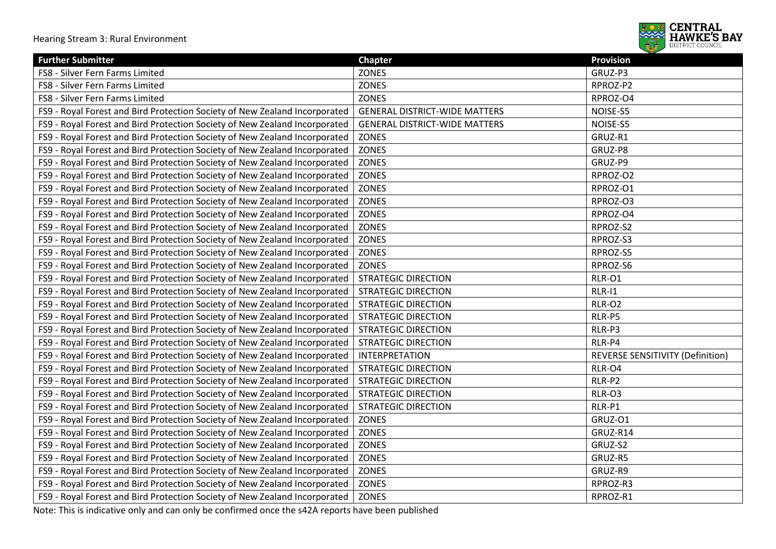

| <b>Further Submitter</b>                                                   | <b>Chapter</b>                       | <b>Provision</b>                 |
|----------------------------------------------------------------------------|--------------------------------------|----------------------------------|
| FS8 - Silver Fern Farms Limited                                            | <b>ZONES</b>                         | GRUZ-P3                          |
| FS8 - Silver Fern Farms Limited                                            | ZONES                                | RPROZ-P2                         |
| FS8 - Silver Fern Farms Limited                                            | ZONES                                | RPROZ-O4                         |
| FS9 - Royal Forest and Bird Protection Society of New Zealand Incorporated | <b>GENERAL DISTRICT-WIDE MATTERS</b> | NOISE-S5                         |
| FS9 - Royal Forest and Bird Protection Society of New Zealand Incorporated | <b>GENERAL DISTRICT-WIDE MATTERS</b> | NOISE-S5                         |
| FS9 - Royal Forest and Bird Protection Society of New Zealand Incorporated | <b>ZONES</b>                         | GRUZ-R1                          |
| FS9 - Royal Forest and Bird Protection Society of New Zealand Incorporated | ZONES                                | GRUZ-P8                          |
| FS9 - Royal Forest and Bird Protection Society of New Zealand Incorporated | <b>ZONES</b>                         | GRUZ-P9                          |
| FS9 - Royal Forest and Bird Protection Society of New Zealand Incorporated | <b>ZONES</b>                         | RPROZ-O2                         |
| FS9 - Royal Forest and Bird Protection Society of New Zealand Incorporated | ZONES                                | RPROZ-O1                         |
| FS9 - Royal Forest and Bird Protection Society of New Zealand Incorporated | ZONES                                | RPROZ-O3                         |
| FS9 - Royal Forest and Bird Protection Society of New Zealand Incorporated | ZONES                                | RPROZ-O4                         |
| FS9 - Royal Forest and Bird Protection Society of New Zealand Incorporated | ZONES                                | RPROZ-S2                         |
| FS9 - Royal Forest and Bird Protection Society of New Zealand Incorporated | ZONES                                | RPROZ-S3                         |
| FS9 - Royal Forest and Bird Protection Society of New Zealand Incorporated | <b>ZONES</b>                         | RPROZ-S5                         |
| FS9 - Royal Forest and Bird Protection Society of New Zealand Incorporated | <b>ZONES</b>                         | RPROZ-S6                         |
| FS9 - Royal Forest and Bird Protection Society of New Zealand Incorporated | <b>STRATEGIC DIRECTION</b>           | RLR-O1                           |
| FS9 - Royal Forest and Bird Protection Society of New Zealand Incorporated | <b>STRATEGIC DIRECTION</b>           | RLR-I1                           |
| FS9 - Royal Forest and Bird Protection Society of New Zealand Incorporated | <b>STRATEGIC DIRECTION</b>           | <b>RLR-O2</b>                    |
| FS9 - Royal Forest and Bird Protection Society of New Zealand Incorporated | <b>STRATEGIC DIRECTION</b>           | RLR-P5                           |
| FS9 - Royal Forest and Bird Protection Society of New Zealand Incorporated | <b>STRATEGIC DIRECTION</b>           | RLR-P3                           |
| FS9 - Royal Forest and Bird Protection Society of New Zealand Incorporated | <b>STRATEGIC DIRECTION</b>           | RLR-P4                           |
| FS9 - Royal Forest and Bird Protection Society of New Zealand Incorporated | <b>INTERPRETATION</b>                | REVERSE SENSITIVITY (Definition) |
| FS9 - Royal Forest and Bird Protection Society of New Zealand Incorporated | <b>STRATEGIC DIRECTION</b>           | RLR-O4                           |
| FS9 - Royal Forest and Bird Protection Society of New Zealand Incorporated | <b>STRATEGIC DIRECTION</b>           | RLR-P2                           |
| FS9 - Royal Forest and Bird Protection Society of New Zealand Incorporated | <b>STRATEGIC DIRECTION</b>           | RLR-O3                           |
| FS9 - Royal Forest and Bird Protection Society of New Zealand Incorporated | <b>STRATEGIC DIRECTION</b>           | RLR-P1                           |
| FS9 - Royal Forest and Bird Protection Society of New Zealand Incorporated | <b>ZONES</b>                         | GRUZ-O1                          |
| FS9 - Royal Forest and Bird Protection Society of New Zealand Incorporated | <b>ZONES</b>                         | GRUZ-R14                         |
| FS9 - Royal Forest and Bird Protection Society of New Zealand Incorporated | <b>ZONES</b>                         | GRUZ-S2                          |
| FS9 - Royal Forest and Bird Protection Society of New Zealand Incorporated | ZONES                                | GRUZ-R5                          |
| FS9 - Royal Forest and Bird Protection Society of New Zealand Incorporated | ZONES                                | GRUZ-R9                          |
| FS9 - Royal Forest and Bird Protection Society of New Zealand Incorporated | <b>ZONES</b>                         | RPROZ-R3                         |
| FS9 - Royal Forest and Bird Protection Society of New Zealand Incorporated | ZONES                                | RPROZ-R1                         |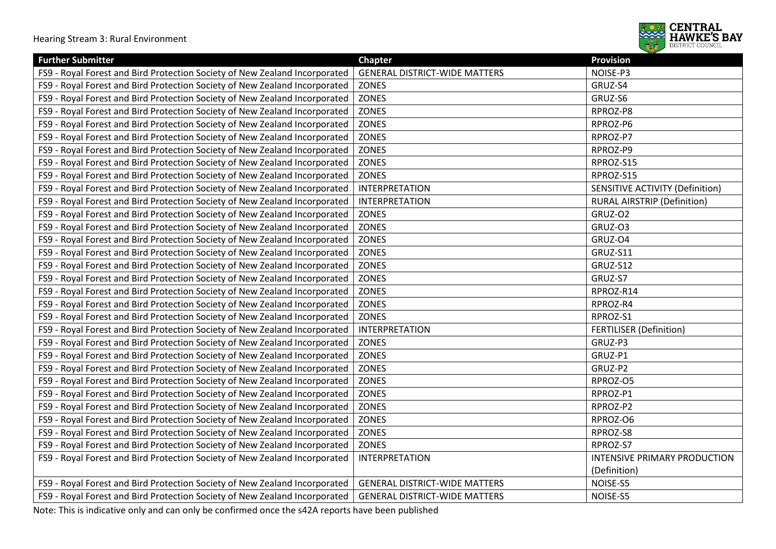

| <b>Further Submitter</b>                                                   | <b>Chapter</b>                       | <b>Provision</b>                       |
|----------------------------------------------------------------------------|--------------------------------------|----------------------------------------|
| FS9 - Royal Forest and Bird Protection Society of New Zealand Incorporated | <b>GENERAL DISTRICT-WIDE MATTERS</b> | NOISE-P3                               |
| FS9 - Royal Forest and Bird Protection Society of New Zealand Incorporated | <b>ZONES</b>                         | GRUZ-S4                                |
| FS9 - Royal Forest and Bird Protection Society of New Zealand Incorporated | <b>ZONES</b>                         | GRUZ-S6                                |
| FS9 - Royal Forest and Bird Protection Society of New Zealand Incorporated | <b>ZONES</b>                         | RPROZ-P8                               |
| FS9 - Royal Forest and Bird Protection Society of New Zealand Incorporated | <b>ZONES</b>                         | RPROZ-P6                               |
| FS9 - Royal Forest and Bird Protection Society of New Zealand Incorporated | <b>ZONES</b>                         | RPROZ-P7                               |
| FS9 - Royal Forest and Bird Protection Society of New Zealand Incorporated | <b>ZONES</b>                         | RPROZ-P9                               |
| FS9 - Royal Forest and Bird Protection Society of New Zealand Incorporated | <b>ZONES</b>                         | RPROZ-S15                              |
| FS9 - Royal Forest and Bird Protection Society of New Zealand Incorporated | <b>ZONES</b>                         | RPROZ-S15                              |
| FS9 - Royal Forest and Bird Protection Society of New Zealand Incorporated | <b>INTERPRETATION</b>                | <b>SENSITIVE ACTIVITY (Definition)</b> |
| FS9 - Royal Forest and Bird Protection Society of New Zealand Incorporated | <b>INTERPRETATION</b>                | <b>RURAL AIRSTRIP (Definition)</b>     |
| FS9 - Royal Forest and Bird Protection Society of New Zealand Incorporated | <b>ZONES</b>                         | GRUZ-O2                                |
| FS9 - Royal Forest and Bird Protection Society of New Zealand Incorporated | <b>ZONES</b>                         | GRUZ-03                                |
| FS9 - Royal Forest and Bird Protection Society of New Zealand Incorporated | <b>ZONES</b>                         | GRUZ-O4                                |
| FS9 - Royal Forest and Bird Protection Society of New Zealand Incorporated | <b>ZONES</b>                         | GRUZ-S11                               |
| FS9 - Royal Forest and Bird Protection Society of New Zealand Incorporated | <b>ZONES</b>                         | GRUZ-S12                               |
| FS9 - Royal Forest and Bird Protection Society of New Zealand Incorporated | <b>ZONES</b>                         | GRUZ-S7                                |
| FS9 - Royal Forest and Bird Protection Society of New Zealand Incorporated | <b>ZONES</b>                         | RPROZ-R14                              |
| FS9 - Royal Forest and Bird Protection Society of New Zealand Incorporated | <b>ZONES</b>                         | RPROZ-R4                               |
| FS9 - Royal Forest and Bird Protection Society of New Zealand Incorporated | <b>ZONES</b>                         | RPROZ-S1                               |
| FS9 - Royal Forest and Bird Protection Society of New Zealand Incorporated | <b>INTERPRETATION</b>                | <b>FERTILISER (Definition)</b>         |
| FS9 - Royal Forest and Bird Protection Society of New Zealand Incorporated | ZONES                                | GRUZ-P3                                |
| FS9 - Royal Forest and Bird Protection Society of New Zealand Incorporated | <b>ZONES</b>                         | GRUZ-P1                                |
| FS9 - Royal Forest and Bird Protection Society of New Zealand Incorporated | <b>ZONES</b>                         | GRUZ-P2                                |
| FS9 - Royal Forest and Bird Protection Society of New Zealand Incorporated | <b>ZONES</b>                         | RPROZ-O5                               |
| FS9 - Royal Forest and Bird Protection Society of New Zealand Incorporated | ZONES                                | RPROZ-P1                               |
| FS9 - Royal Forest and Bird Protection Society of New Zealand Incorporated | ZONES                                | RPROZ-P2                               |
| FS9 - Royal Forest and Bird Protection Society of New Zealand Incorporated | <b>ZONES</b>                         | RPROZ-O6                               |
| FS9 - Royal Forest and Bird Protection Society of New Zealand Incorporated | ZONES                                | RPROZ-S8                               |
| FS9 - Royal Forest and Bird Protection Society of New Zealand Incorporated | <b>ZONES</b>                         | RPROZ-S7                               |
| FS9 - Royal Forest and Bird Protection Society of New Zealand Incorporated | <b>INTERPRETATION</b>                | INTENSIVE PRIMARY PRODUCTION           |
|                                                                            |                                      | (Definition)                           |
| FS9 - Royal Forest and Bird Protection Society of New Zealand Incorporated | <b>GENERAL DISTRICT-WIDE MATTERS</b> | NOISE-S5                               |
| FS9 - Royal Forest and Bird Protection Society of New Zealand Incorporated | <b>GENERAL DISTRICT-WIDE MATTERS</b> | NOISE-S5                               |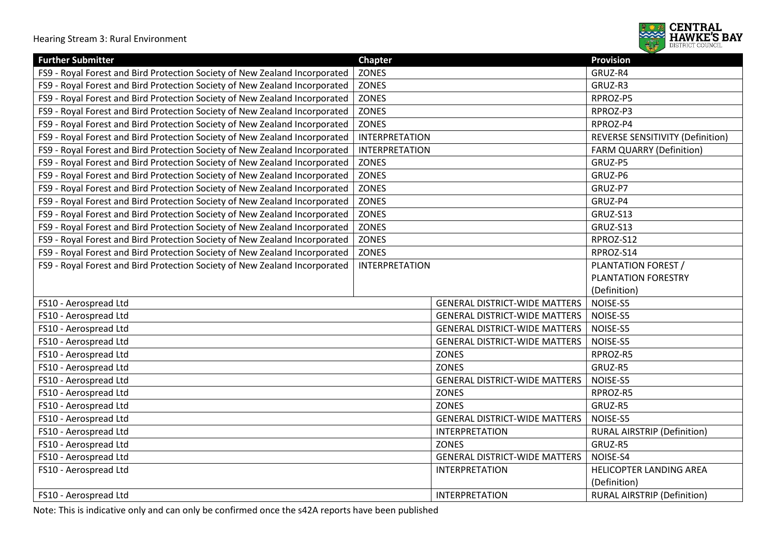

| <b>Further Submitter</b>                                                   | <b>Chapter</b>        |                                      | <b>Provision</b>                   |
|----------------------------------------------------------------------------|-----------------------|--------------------------------------|------------------------------------|
| FS9 - Royal Forest and Bird Protection Society of New Zealand Incorporated | <b>ZONES</b>          |                                      | GRUZ-R4                            |
| FS9 - Royal Forest and Bird Protection Society of New Zealand Incorporated | <b>ZONES</b>          |                                      | GRUZ-R3                            |
| FS9 - Royal Forest and Bird Protection Society of New Zealand Incorporated | <b>ZONES</b>          |                                      | RPROZ-P5                           |
| FS9 - Royal Forest and Bird Protection Society of New Zealand Incorporated | <b>ZONES</b>          |                                      | RPROZ-P3                           |
| FS9 - Royal Forest and Bird Protection Society of New Zealand Incorporated | <b>ZONES</b>          |                                      | RPROZ-P4                           |
| FS9 - Royal Forest and Bird Protection Society of New Zealand Incorporated | <b>INTERPRETATION</b> |                                      | REVERSE SENSITIVITY (Definition)   |
| FS9 - Royal Forest and Bird Protection Society of New Zealand Incorporated | <b>INTERPRETATION</b> |                                      | <b>FARM QUARRY (Definition)</b>    |
| FS9 - Royal Forest and Bird Protection Society of New Zealand Incorporated | <b>ZONES</b>          |                                      | GRUZ-P5                            |
| FS9 - Royal Forest and Bird Protection Society of New Zealand Incorporated | <b>ZONES</b>          |                                      | GRUZ-P6                            |
| FS9 - Royal Forest and Bird Protection Society of New Zealand Incorporated | ZONES                 |                                      | GRUZ-P7                            |
| FS9 - Royal Forest and Bird Protection Society of New Zealand Incorporated | <b>ZONES</b>          |                                      | GRUZ-P4                            |
| FS9 - Royal Forest and Bird Protection Society of New Zealand Incorporated | ZONES                 |                                      | GRUZ-S13                           |
| FS9 - Royal Forest and Bird Protection Society of New Zealand Incorporated | ZONES                 |                                      | GRUZ-S13                           |
| FS9 - Royal Forest and Bird Protection Society of New Zealand Incorporated | ZONES                 |                                      | RPROZ-S12                          |
| FS9 - Royal Forest and Bird Protection Society of New Zealand Incorporated | <b>ZONES</b>          |                                      | RPROZ-S14                          |
| FS9 - Royal Forest and Bird Protection Society of New Zealand Incorporated | <b>INTERPRETATION</b> |                                      | PLANTATION FOREST /                |
|                                                                            |                       |                                      | PLANTATION FORESTRY                |
|                                                                            |                       |                                      | (Definition)                       |
| FS10 - Aerospread Ltd                                                      |                       | <b>GENERAL DISTRICT-WIDE MATTERS</b> | NOISE-S5                           |
| FS10 - Aerospread Ltd                                                      |                       | <b>GENERAL DISTRICT-WIDE MATTERS</b> | NOISE-S5                           |
| FS10 - Aerospread Ltd                                                      |                       | <b>GENERAL DISTRICT-WIDE MATTERS</b> | NOISE-S5                           |
| FS10 - Aerospread Ltd                                                      |                       | <b>GENERAL DISTRICT-WIDE MATTERS</b> | NOISE-S5                           |
| FS10 - Aerospread Ltd                                                      |                       | <b>ZONES</b>                         | RPROZ-R5                           |
| FS10 - Aerospread Ltd                                                      |                       | <b>ZONES</b>                         | GRUZ-R5                            |
| FS10 - Aerospread Ltd                                                      |                       | <b>GENERAL DISTRICT-WIDE MATTERS</b> | NOISE-S5                           |
| FS10 - Aerospread Ltd                                                      |                       | <b>ZONES</b>                         | RPROZ-R5                           |
| FS10 - Aerospread Ltd                                                      |                       | <b>ZONES</b>                         | GRUZ-R5                            |
| FS10 - Aerospread Ltd                                                      |                       | <b>GENERAL DISTRICT-WIDE MATTERS</b> | NOISE-S5                           |
| FS10 - Aerospread Ltd                                                      |                       | <b>INTERPRETATION</b>                | <b>RURAL AIRSTRIP (Definition)</b> |
| FS10 - Aerospread Ltd                                                      |                       | <b>ZONES</b>                         | GRUZ-R5                            |
| FS10 - Aerospread Ltd                                                      |                       | <b>GENERAL DISTRICT-WIDE MATTERS</b> | NOISE-S4                           |
| FS10 - Aerospread Ltd                                                      |                       | <b>INTERPRETATION</b>                | HELICOPTER LANDING AREA            |
|                                                                            |                       |                                      | (Definition)                       |
| FS10 - Aerospread Ltd                                                      |                       | <b>INTERPRETATION</b>                | <b>RURAL AIRSTRIP (Definition)</b> |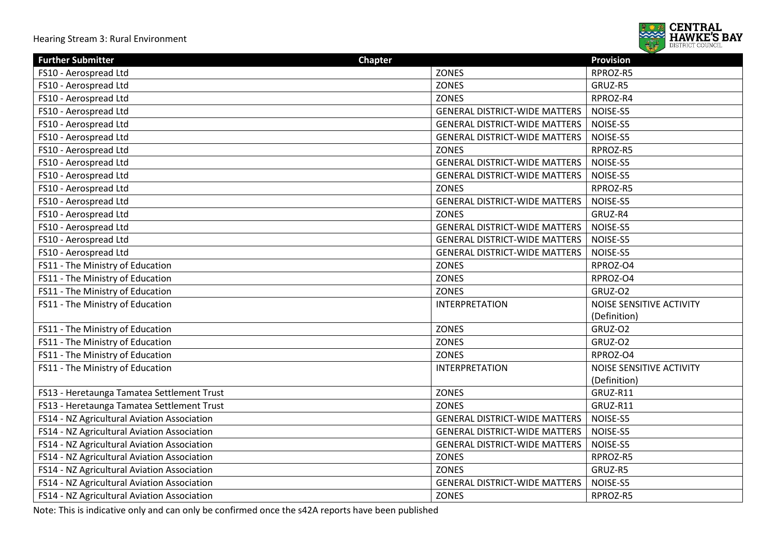

| <b>Further Submitter</b><br><b>Chapter</b>  |                                      | <b>Provision</b>         |
|---------------------------------------------|--------------------------------------|--------------------------|
| FS10 - Aerospread Ltd                       | ZONES                                | RPROZ-R5                 |
| FS10 - Aerospread Ltd                       | <b>ZONES</b>                         | GRUZ-R5                  |
| FS10 - Aerospread Ltd                       | <b>ZONES</b>                         | RPROZ-R4                 |
| FS10 - Aerospread Ltd                       | <b>GENERAL DISTRICT-WIDE MATTERS</b> | NOISE-S5                 |
| FS10 - Aerospread Ltd                       | <b>GENERAL DISTRICT-WIDE MATTERS</b> | NOISE-S5                 |
| FS10 - Aerospread Ltd                       | <b>GENERAL DISTRICT-WIDE MATTERS</b> | NOISE-S5                 |
| FS10 - Aerospread Ltd                       | <b>ZONES</b>                         | RPROZ-R5                 |
| FS10 - Aerospread Ltd                       | <b>GENERAL DISTRICT-WIDE MATTERS</b> | NOISE-S5                 |
| FS10 - Aerospread Ltd                       | <b>GENERAL DISTRICT-WIDE MATTERS</b> | NOISE-S5                 |
| FS10 - Aerospread Ltd                       | <b>ZONES</b>                         | RPROZ-R5                 |
| FS10 - Aerospread Ltd                       | <b>GENERAL DISTRICT-WIDE MATTERS</b> | NOISE-S5                 |
| FS10 - Aerospread Ltd                       | <b>ZONES</b>                         | GRUZ-R4                  |
| FS10 - Aerospread Ltd                       | <b>GENERAL DISTRICT-WIDE MATTERS</b> | NOISE-S5                 |
| FS10 - Aerospread Ltd                       | <b>GENERAL DISTRICT-WIDE MATTERS</b> | NOISE-S5                 |
| FS10 - Aerospread Ltd                       | <b>GENERAL DISTRICT-WIDE MATTERS</b> | NOISE-S5                 |
| FS11 - The Ministry of Education            | ZONES                                | RPROZ-O4                 |
| FS11 - The Ministry of Education            | <b>ZONES</b>                         | RPROZ-O4                 |
| FS11 - The Ministry of Education            | <b>ZONES</b>                         | GRUZ-O2                  |
| FS11 - The Ministry of Education            | <b>INTERPRETATION</b>                | NOISE SENSITIVE ACTIVITY |
|                                             |                                      | (Definition)             |
| FS11 - The Ministry of Education            | <b>ZONES</b>                         | GRUZ-O2                  |
| FS11 - The Ministry of Education            | <b>ZONES</b>                         | GRUZ-O2                  |
| FS11 - The Ministry of Education            | <b>ZONES</b>                         | RPROZ-O4                 |
| FS11 - The Ministry of Education            | <b>INTERPRETATION</b>                | NOISE SENSITIVE ACTIVITY |
|                                             |                                      | (Definition)             |
| FS13 - Heretaunga Tamatea Settlement Trust  | <b>ZONES</b>                         | GRUZ-R11                 |
| FS13 - Heretaunga Tamatea Settlement Trust  | <b>ZONES</b>                         | GRUZ-R11                 |
| FS14 - NZ Agricultural Aviation Association | <b>GENERAL DISTRICT-WIDE MATTERS</b> | NOISE-S5                 |
| FS14 - NZ Agricultural Aviation Association | <b>GENERAL DISTRICT-WIDE MATTERS</b> | NOISE-S5                 |
| FS14 - NZ Agricultural Aviation Association | <b>GENERAL DISTRICT-WIDE MATTERS</b> | NOISE-S5                 |
| FS14 - NZ Agricultural Aviation Association | <b>ZONES</b>                         | RPROZ-R5                 |
| FS14 - NZ Agricultural Aviation Association | <b>ZONES</b>                         | GRUZ-R5                  |
| FS14 - NZ Agricultural Aviation Association | <b>GENERAL DISTRICT-WIDE MATTERS</b> | NOISE-S5                 |
| FS14 - NZ Agricultural Aviation Association | ZONES                                | RPROZ-R5                 |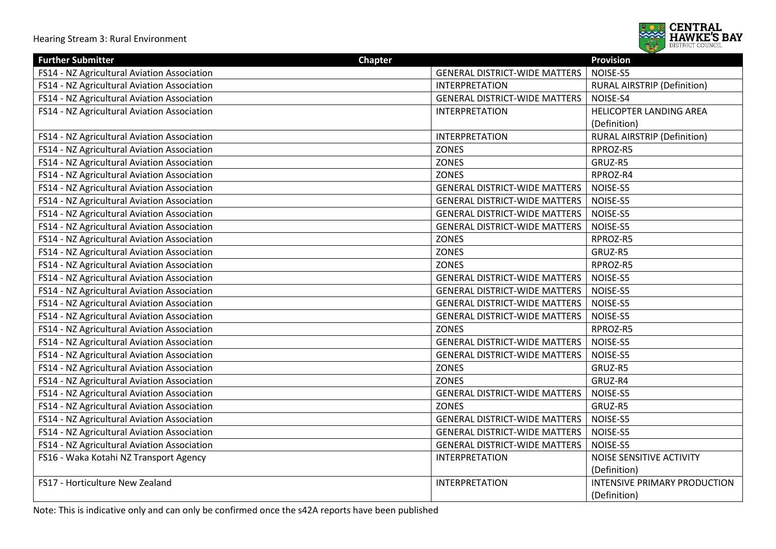

| <b>Further Submitter</b>                    | <b>Chapter</b>                       | <b>Provision</b>                   |
|---------------------------------------------|--------------------------------------|------------------------------------|
| FS14 - NZ Agricultural Aviation Association | <b>GENERAL DISTRICT-WIDE MATTERS</b> | NOISE-S5                           |
| FS14 - NZ Agricultural Aviation Association | <b>INTERPRETATION</b>                | <b>RURAL AIRSTRIP (Definition)</b> |
| FS14 - NZ Agricultural Aviation Association | <b>GENERAL DISTRICT-WIDE MATTERS</b> | NOISE-S4                           |
| FS14 - NZ Agricultural Aviation Association | <b>INTERPRETATION</b>                | HELICOPTER LANDING AREA            |
|                                             |                                      | (Definition)                       |
| FS14 - NZ Agricultural Aviation Association | INTERPRETATION                       | <b>RURAL AIRSTRIP (Definition)</b> |
| FS14 - NZ Agricultural Aviation Association | ZONES                                | RPROZ-R5                           |
| FS14 - NZ Agricultural Aviation Association | ZONES                                | GRUZ-R5                            |
| FS14 - NZ Agricultural Aviation Association | <b>ZONES</b>                         | RPROZ-R4                           |
| FS14 - NZ Agricultural Aviation Association | <b>GENERAL DISTRICT-WIDE MATTERS</b> | NOISE-S5                           |
| FS14 - NZ Agricultural Aviation Association | <b>GENERAL DISTRICT-WIDE MATTERS</b> | NOISE-S5                           |
| FS14 - NZ Agricultural Aviation Association | <b>GENERAL DISTRICT-WIDE MATTERS</b> | NOISE-S5                           |
| FS14 - NZ Agricultural Aviation Association | <b>GENERAL DISTRICT-WIDE MATTERS</b> | NOISE-S5                           |
| FS14 - NZ Agricultural Aviation Association | <b>ZONES</b>                         | RPROZ-R5                           |
| FS14 - NZ Agricultural Aviation Association | ZONES                                | GRUZ-R5                            |
| FS14 - NZ Agricultural Aviation Association | <b>ZONES</b>                         | RPROZ-R5                           |
| FS14 - NZ Agricultural Aviation Association | <b>GENERAL DISTRICT-WIDE MATTERS</b> | NOISE-S5                           |
| FS14 - NZ Agricultural Aviation Association | <b>GENERAL DISTRICT-WIDE MATTERS</b> | NOISE-S5                           |
| FS14 - NZ Agricultural Aviation Association | <b>GENERAL DISTRICT-WIDE MATTERS</b> | NOISE-S5                           |
| FS14 - NZ Agricultural Aviation Association | <b>GENERAL DISTRICT-WIDE MATTERS</b> | NOISE-S5                           |
| FS14 - NZ Agricultural Aviation Association | <b>ZONES</b>                         | RPROZ-R5                           |
| FS14 - NZ Agricultural Aviation Association | <b>GENERAL DISTRICT-WIDE MATTERS</b> | NOISE-S5                           |
| FS14 - NZ Agricultural Aviation Association | <b>GENERAL DISTRICT-WIDE MATTERS</b> | NOISE-S5                           |
| FS14 - NZ Agricultural Aviation Association | <b>ZONES</b>                         | GRUZ-R5                            |
| FS14 - NZ Agricultural Aviation Association | <b>ZONES</b>                         | GRUZ-R4                            |
| FS14 - NZ Agricultural Aviation Association | <b>GENERAL DISTRICT-WIDE MATTERS</b> | NOISE-S5                           |
| FS14 - NZ Agricultural Aviation Association | <b>ZONES</b>                         | GRUZ-R5                            |
| FS14 - NZ Agricultural Aviation Association | <b>GENERAL DISTRICT-WIDE MATTERS</b> | NOISE-S5                           |
| FS14 - NZ Agricultural Aviation Association | <b>GENERAL DISTRICT-WIDE MATTERS</b> | NOISE-S5                           |
| FS14 - NZ Agricultural Aviation Association | <b>GENERAL DISTRICT-WIDE MATTERS</b> | NOISE-S5                           |
| FS16 - Waka Kotahi NZ Transport Agency      | <b>INTERPRETATION</b>                | NOISE SENSITIVE ACTIVITY           |
|                                             |                                      | (Definition)                       |
| FS17 - Horticulture New Zealand             | <b>INTERPRETATION</b>                | INTENSIVE PRIMARY PRODUCTION       |
|                                             |                                      | (Definition)                       |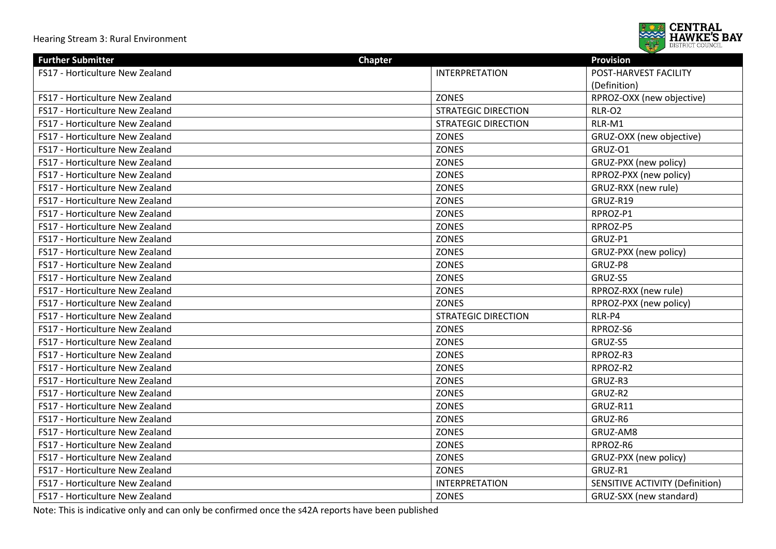

| <b>Further Submitter</b>        | <b>Chapter</b>             | <b>Provision</b>                       |
|---------------------------------|----------------------------|----------------------------------------|
| FS17 - Horticulture New Zealand | <b>INTERPRETATION</b>      | POST-HARVEST FACILITY                  |
|                                 |                            | (Definition)                           |
| FS17 - Horticulture New Zealand | <b>ZONES</b>               | RPROZ-OXX (new objective)              |
| FS17 - Horticulture New Zealand | <b>STRATEGIC DIRECTION</b> | <b>RLR-O2</b>                          |
| FS17 - Horticulture New Zealand | <b>STRATEGIC DIRECTION</b> | RLR-M1                                 |
| FS17 - Horticulture New Zealand | <b>ZONES</b>               | GRUZ-OXX (new objective)               |
| FS17 - Horticulture New Zealand | <b>ZONES</b>               | GRUZ-O1                                |
| FS17 - Horticulture New Zealand | <b>ZONES</b>               | GRUZ-PXX (new policy)                  |
| FS17 - Horticulture New Zealand | <b>ZONES</b>               | RPROZ-PXX (new policy)                 |
| FS17 - Horticulture New Zealand | <b>ZONES</b>               | GRUZ-RXX (new rule)                    |
| FS17 - Horticulture New Zealand | <b>ZONES</b>               | GRUZ-R19                               |
| FS17 - Horticulture New Zealand | <b>ZONES</b>               | RPROZ-P1                               |
| FS17 - Horticulture New Zealand | <b>ZONES</b>               | RPROZ-P5                               |
| FS17 - Horticulture New Zealand | <b>ZONES</b>               | GRUZ-P1                                |
| FS17 - Horticulture New Zealand | <b>ZONES</b>               | GRUZ-PXX (new policy)                  |
| FS17 - Horticulture New Zealand | <b>ZONES</b>               | GRUZ-P8                                |
| FS17 - Horticulture New Zealand | <b>ZONES</b>               | GRUZ-S5                                |
| FS17 - Horticulture New Zealand | <b>ZONES</b>               | RPROZ-RXX (new rule)                   |
| FS17 - Horticulture New Zealand | <b>ZONES</b>               | RPROZ-PXX (new policy)                 |
| FS17 - Horticulture New Zealand | <b>STRATEGIC DIRECTION</b> | RLR-P4                                 |
| FS17 - Horticulture New Zealand | ZONES                      | RPROZ-S6                               |
| FS17 - Horticulture New Zealand | <b>ZONES</b>               | GRUZ-S5                                |
| FS17 - Horticulture New Zealand | <b>ZONES</b>               | RPROZ-R3                               |
| FS17 - Horticulture New Zealand | <b>ZONES</b>               | RPROZ-R2                               |
| FS17 - Horticulture New Zealand | <b>ZONES</b>               | GRUZ-R3                                |
| FS17 - Horticulture New Zealand | <b>ZONES</b>               | GRUZ-R2                                |
| FS17 - Horticulture New Zealand | <b>ZONES</b>               | GRUZ-R11                               |
| FS17 - Horticulture New Zealand | <b>ZONES</b>               | GRUZ-R6                                |
| FS17 - Horticulture New Zealand | <b>ZONES</b>               | GRUZ-AM8                               |
| FS17 - Horticulture New Zealand | <b>ZONES</b>               | RPROZ-R6                               |
| FS17 - Horticulture New Zealand | <b>ZONES</b>               | GRUZ-PXX (new policy)                  |
| FS17 - Horticulture New Zealand | <b>ZONES</b>               | GRUZ-R1                                |
| FS17 - Horticulture New Zealand | <b>INTERPRETATION</b>      | <b>SENSITIVE ACTIVITY (Definition)</b> |
| FS17 - Horticulture New Zealand | <b>ZONES</b>               | GRUZ-SXX (new standard)                |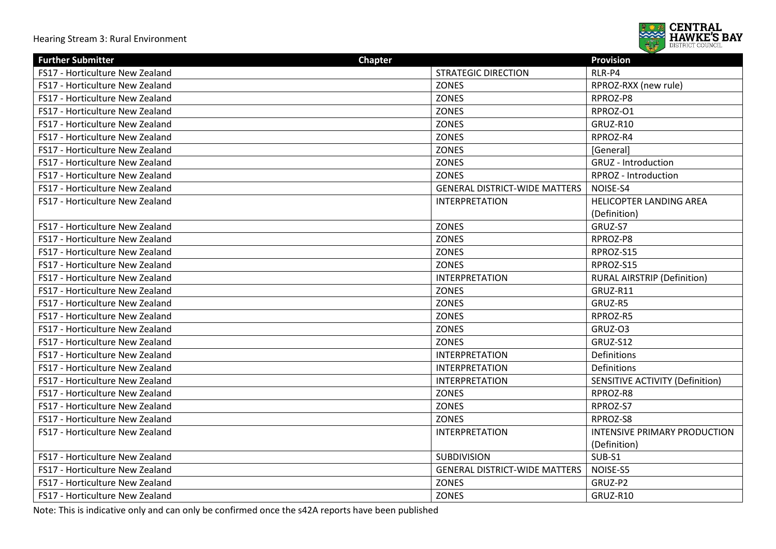

| <b>Further Submitter</b>        | <b>Chapter</b>                       | <b>Provision</b>                       |
|---------------------------------|--------------------------------------|----------------------------------------|
| FS17 - Horticulture New Zealand | <b>STRATEGIC DIRECTION</b>           | RLR-P4                                 |
| FS17 - Horticulture New Zealand | <b>ZONES</b>                         | RPROZ-RXX (new rule)                   |
| FS17 - Horticulture New Zealand | <b>ZONES</b>                         | RPROZ-P8                               |
| FS17 - Horticulture New Zealand | <b>ZONES</b>                         | RPROZ-O1                               |
| FS17 - Horticulture New Zealand | <b>ZONES</b>                         | GRUZ-R10                               |
| FS17 - Horticulture New Zealand | <b>ZONES</b>                         | RPROZ-R4                               |
| FS17 - Horticulture New Zealand | <b>ZONES</b>                         | [General]                              |
| FS17 - Horticulture New Zealand | <b>ZONES</b>                         | <b>GRUZ</b> - Introduction             |
| FS17 - Horticulture New Zealand | <b>ZONES</b>                         | RPROZ - Introduction                   |
| FS17 - Horticulture New Zealand | <b>GENERAL DISTRICT-WIDE MATTERS</b> | NOISE-S4                               |
| FS17 - Horticulture New Zealand | <b>INTERPRETATION</b>                | <b>HELICOPTER LANDING AREA</b>         |
|                                 |                                      | (Definition)                           |
| FS17 - Horticulture New Zealand | <b>ZONES</b>                         | GRUZ-S7                                |
| FS17 - Horticulture New Zealand | <b>ZONES</b>                         | RPROZ-P8                               |
| FS17 - Horticulture New Zealand | ZONES                                | RPROZ-S15                              |
| FS17 - Horticulture New Zealand | <b>ZONES</b>                         | RPROZ-S15                              |
| FS17 - Horticulture New Zealand | <b>INTERPRETATION</b>                | <b>RURAL AIRSTRIP (Definition)</b>     |
| FS17 - Horticulture New Zealand | <b>ZONES</b>                         | GRUZ-R11                               |
| FS17 - Horticulture New Zealand | <b>ZONES</b>                         | GRUZ-R5                                |
| FS17 - Horticulture New Zealand | <b>ZONES</b>                         | RPROZ-R5                               |
| FS17 - Horticulture New Zealand | <b>ZONES</b>                         | GRUZ-O3                                |
| FS17 - Horticulture New Zealand | <b>ZONES</b>                         | GRUZ-S12                               |
| FS17 - Horticulture New Zealand | <b>INTERPRETATION</b>                | Definitions                            |
| FS17 - Horticulture New Zealand | <b>INTERPRETATION</b>                | Definitions                            |
| FS17 - Horticulture New Zealand | <b>INTERPRETATION</b>                | <b>SENSITIVE ACTIVITY (Definition)</b> |
| FS17 - Horticulture New Zealand | <b>ZONES</b>                         | RPROZ-R8                               |
| FS17 - Horticulture New Zealand | <b>ZONES</b>                         | RPROZ-S7                               |
| FS17 - Horticulture New Zealand | <b>ZONES</b>                         | RPROZ-S8                               |
| FS17 - Horticulture New Zealand | <b>INTERPRETATION</b>                | INTENSIVE PRIMARY PRODUCTION           |
|                                 |                                      | (Definition)                           |
| FS17 - Horticulture New Zealand | <b>SUBDIVISION</b>                   | SUB-S1                                 |
| FS17 - Horticulture New Zealand | <b>GENERAL DISTRICT-WIDE MATTERS</b> | NOISE-S5                               |
| FS17 - Horticulture New Zealand | ZONES                                | GRUZ-P2                                |
| FS17 - Horticulture New Zealand | <b>ZONES</b>                         | GRUZ-R10                               |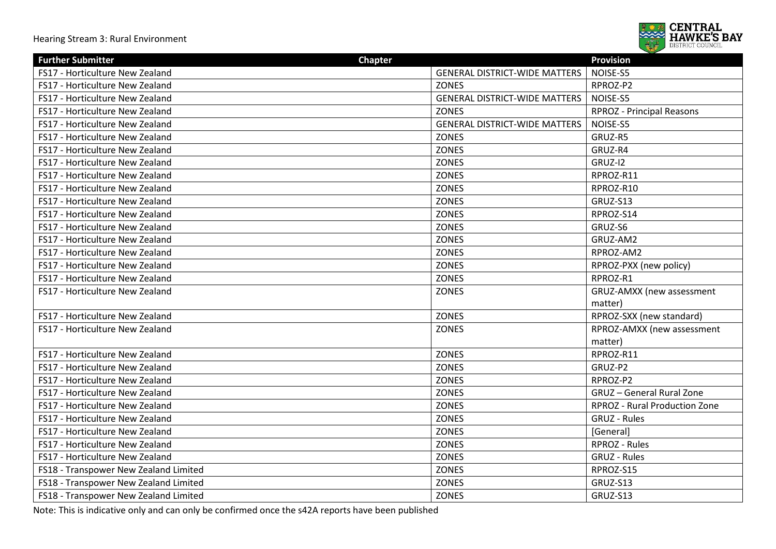

| <b>Further Submitter</b>              | <b>Chapter</b>                       | <b>Provision</b>                 |
|---------------------------------------|--------------------------------------|----------------------------------|
| FS17 - Horticulture New Zealand       | <b>GENERAL DISTRICT-WIDE MATTERS</b> | NOISE-S5                         |
| FS17 - Horticulture New Zealand       | <b>ZONES</b>                         | RPROZ-P2                         |
| FS17 - Horticulture New Zealand       | <b>GENERAL DISTRICT-WIDE MATTERS</b> | NOISE-S5                         |
| FS17 - Horticulture New Zealand       | <b>ZONES</b>                         | <b>RPROZ</b> - Principal Reasons |
| FS17 - Horticulture New Zealand       | <b>GENERAL DISTRICT-WIDE MATTERS</b> | NOISE-S5                         |
| FS17 - Horticulture New Zealand       | <b>ZONES</b>                         | GRUZ-R5                          |
| FS17 - Horticulture New Zealand       | <b>ZONES</b>                         | GRUZ-R4                          |
| FS17 - Horticulture New Zealand       | <b>ZONES</b>                         | GRUZ-I2                          |
| FS17 - Horticulture New Zealand       | <b>ZONES</b>                         | RPROZ-R11                        |
| FS17 - Horticulture New Zealand       | <b>ZONES</b>                         | RPROZ-R10                        |
| FS17 - Horticulture New Zealand       | <b>ZONES</b>                         | GRUZ-S13                         |
| FS17 - Horticulture New Zealand       | <b>ZONES</b>                         | RPROZ-S14                        |
| FS17 - Horticulture New Zealand       | <b>ZONES</b>                         | GRUZ-S6                          |
| FS17 - Horticulture New Zealand       | <b>ZONES</b>                         | GRUZ-AM2                         |
| FS17 - Horticulture New Zealand       | <b>ZONES</b>                         | RPROZ-AM2                        |
| FS17 - Horticulture New Zealand       | <b>ZONES</b>                         | RPROZ-PXX (new policy)           |
| FS17 - Horticulture New Zealand       | <b>ZONES</b>                         | RPROZ-R1                         |
| FS17 - Horticulture New Zealand       | <b>ZONES</b>                         | GRUZ-AMXX (new assessment        |
|                                       |                                      | matter)                          |
| FS17 - Horticulture New Zealand       | <b>ZONES</b>                         | RPROZ-SXX (new standard)         |
| FS17 - Horticulture New Zealand       | <b>ZONES</b>                         | RPROZ-AMXX (new assessment       |
|                                       |                                      | matter)                          |
| FS17 - Horticulture New Zealand       | <b>ZONES</b>                         | RPROZ-R11                        |
| FS17 - Horticulture New Zealand       | <b>ZONES</b>                         | GRUZ-P2                          |
| FS17 - Horticulture New Zealand       | <b>ZONES</b>                         | RPROZ-P2                         |
| FS17 - Horticulture New Zealand       | <b>ZONES</b>                         | <b>GRUZ</b> - General Rural Zone |
| FS17 - Horticulture New Zealand       | <b>ZONES</b>                         | RPROZ - Rural Production Zone    |
| FS17 - Horticulture New Zealand       | <b>ZONES</b>                         | <b>GRUZ - Rules</b>              |
| FS17 - Horticulture New Zealand       | <b>ZONES</b>                         | [General]                        |
| FS17 - Horticulture New Zealand       | <b>ZONES</b>                         | <b>RPROZ - Rules</b>             |
| FS17 - Horticulture New Zealand       | <b>ZONES</b>                         | GRUZ - Rules                     |
| FS18 - Transpower New Zealand Limited | <b>ZONES</b>                         | RPROZ-S15                        |
| FS18 - Transpower New Zealand Limited | <b>ZONES</b>                         | GRUZ-S13                         |
| FS18 - Transpower New Zealand Limited | <b>ZONES</b>                         | GRUZ-S13                         |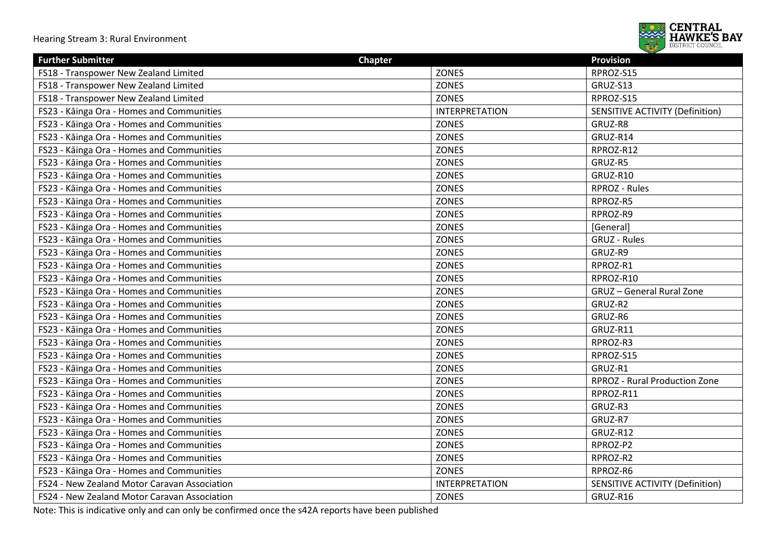

| <b>Further Submitter</b>                     | <b>Chapter</b>        | <b>Provision</b>                       |
|----------------------------------------------|-----------------------|----------------------------------------|
| FS18 - Transpower New Zealand Limited        | <b>ZONES</b>          | RPROZ-S15                              |
| FS18 - Transpower New Zealand Limited        | <b>ZONES</b>          | GRUZ-S13                               |
| FS18 - Transpower New Zealand Limited        | <b>ZONES</b>          | RPROZ-S15                              |
| FS23 - Kāinga Ora - Homes and Communities    | <b>INTERPRETATION</b> | <b>SENSITIVE ACTIVITY (Definition)</b> |
| FS23 - Kāinga Ora - Homes and Communities    | <b>ZONES</b>          | GRUZ-R8                                |
| FS23 - Kāinga Ora - Homes and Communities    | <b>ZONES</b>          | GRUZ-R14                               |
| FS23 - Kāinga Ora - Homes and Communities    | <b>ZONES</b>          | RPROZ-R12                              |
| FS23 - Kāinga Ora - Homes and Communities    | <b>ZONES</b>          | GRUZ-R5                                |
| FS23 - Kāinga Ora - Homes and Communities    | <b>ZONES</b>          | GRUZ-R10                               |
| FS23 - Kāinga Ora - Homes and Communities    | <b>ZONES</b>          | RPROZ - Rules                          |
| FS23 - Kāinga Ora - Homes and Communities    | <b>ZONES</b>          | RPROZ-R5                               |
| FS23 - Kāinga Ora - Homes and Communities    | <b>ZONES</b>          | RPROZ-R9                               |
| FS23 - Kāinga Ora - Homes and Communities    | <b>ZONES</b>          | [General]                              |
| FS23 - Kāinga Ora - Homes and Communities    | <b>ZONES</b>          | <b>GRUZ - Rules</b>                    |
| FS23 - Kāinga Ora - Homes and Communities    | <b>ZONES</b>          | GRUZ-R9                                |
| FS23 - Kāinga Ora - Homes and Communities    | <b>ZONES</b>          | RPROZ-R1                               |
| FS23 - Kāinga Ora - Homes and Communities    | <b>ZONES</b>          | RPROZ-R10                              |
| FS23 - Kāinga Ora - Homes and Communities    | <b>ZONES</b>          | <b>GRUZ</b> - General Rural Zone       |
| FS23 - Kāinga Ora - Homes and Communities    | <b>ZONES</b>          | GRUZ-R2                                |
| FS23 - Kāinga Ora - Homes and Communities    | <b>ZONES</b>          | GRUZ-R6                                |
| FS23 - Kāinga Ora - Homes and Communities    | <b>ZONES</b>          | GRUZ-R11                               |
| FS23 - Kāinga Ora - Homes and Communities    | <b>ZONES</b>          | RPROZ-R3                               |
| FS23 - Kāinga Ora - Homes and Communities    | <b>ZONES</b>          | RPROZ-S15                              |
| FS23 - Kāinga Ora - Homes and Communities    | <b>ZONES</b>          | GRUZ-R1                                |
| FS23 - Kāinga Ora - Homes and Communities    | <b>ZONES</b>          | <b>RPROZ - Rural Production Zone</b>   |
| FS23 - Kāinga Ora - Homes and Communities    | <b>ZONES</b>          | RPROZ-R11                              |
| FS23 - Kāinga Ora - Homes and Communities    | <b>ZONES</b>          | GRUZ-R3                                |
| FS23 - Kāinga Ora - Homes and Communities    | <b>ZONES</b>          | GRUZ-R7                                |
| FS23 - Kāinga Ora - Homes and Communities    | <b>ZONES</b>          | GRUZ-R12                               |
| FS23 - Kāinga Ora - Homes and Communities    | <b>ZONES</b>          | RPROZ-P2                               |
| FS23 - Kāinga Ora - Homes and Communities    | <b>ZONES</b>          | RPROZ-R2                               |
| FS23 - Kāinga Ora - Homes and Communities    | <b>ZONES</b>          | RPROZ-R6                               |
| FS24 - New Zealand Motor Caravan Association | <b>INTERPRETATION</b> | <b>SENSITIVE ACTIVITY (Definition)</b> |
| FS24 - New Zealand Motor Caravan Association | <b>ZONES</b>          | GRUZ-R16                               |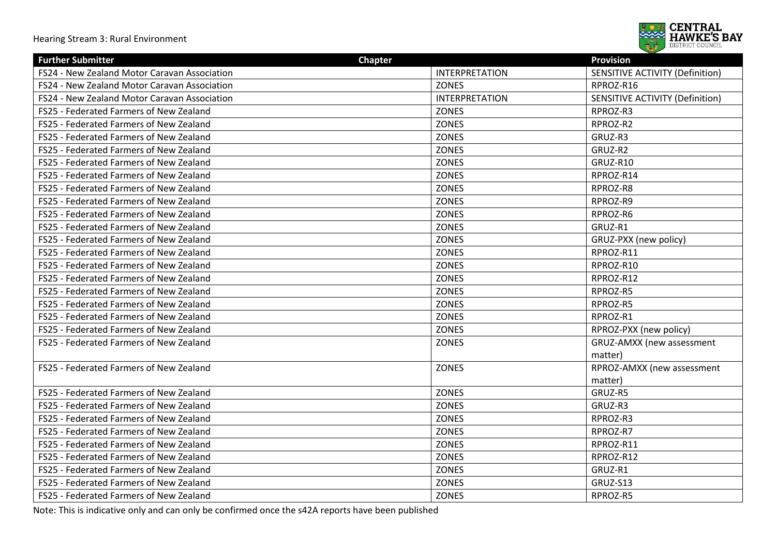

| <b>Further Submitter</b>                     | <b>Chapter</b>        | <b>Provision</b>                       |
|----------------------------------------------|-----------------------|----------------------------------------|
| FS24 - New Zealand Motor Caravan Association | <b>INTERPRETATION</b> | <b>SENSITIVE ACTIVITY (Definition)</b> |
| FS24 - New Zealand Motor Caravan Association | <b>ZONES</b>          | RPROZ-R16                              |
| FS24 - New Zealand Motor Caravan Association | <b>INTERPRETATION</b> | <b>SENSITIVE ACTIVITY (Definition)</b> |
| FS25 - Federated Farmers of New Zealand      | <b>ZONES</b>          | RPROZ-R3                               |
| FS25 - Federated Farmers of New Zealand      | <b>ZONES</b>          | RPROZ-R2                               |
| FS25 - Federated Farmers of New Zealand      | <b>ZONES</b>          | GRUZ-R3                                |
| FS25 - Federated Farmers of New Zealand      | <b>ZONES</b>          | GRUZ-R2                                |
| FS25 - Federated Farmers of New Zealand      | <b>ZONES</b>          | GRUZ-R10                               |
| FS25 - Federated Farmers of New Zealand      | <b>ZONES</b>          | RPROZ-R14                              |
| FS25 - Federated Farmers of New Zealand      | <b>ZONES</b>          | RPROZ-R8                               |
| FS25 - Federated Farmers of New Zealand      | <b>ZONES</b>          | RPROZ-R9                               |
| FS25 - Federated Farmers of New Zealand      | <b>ZONES</b>          | RPROZ-R6                               |
| FS25 - Federated Farmers of New Zealand      | <b>ZONES</b>          | GRUZ-R1                                |
| FS25 - Federated Farmers of New Zealand      | <b>ZONES</b>          | GRUZ-PXX (new policy)                  |
| FS25 - Federated Farmers of New Zealand      | <b>ZONES</b>          | RPROZ-R11                              |
| FS25 - Federated Farmers of New Zealand      | <b>ZONES</b>          | RPROZ-R10                              |
| FS25 - Federated Farmers of New Zealand      | <b>ZONES</b>          | RPROZ-R12                              |
| FS25 - Federated Farmers of New Zealand      | <b>ZONES</b>          | RPROZ-R5                               |
| FS25 - Federated Farmers of New Zealand      | <b>ZONES</b>          | RPROZ-R5                               |
| FS25 - Federated Farmers of New Zealand      | <b>ZONES</b>          | RPROZ-R1                               |
| FS25 - Federated Farmers of New Zealand      | <b>ZONES</b>          | RPROZ-PXX (new policy)                 |
| FS25 - Federated Farmers of New Zealand      | <b>ZONES</b>          | GRUZ-AMXX (new assessment              |
|                                              |                       | matter)                                |
| FS25 - Federated Farmers of New Zealand      | <b>ZONES</b>          | RPROZ-AMXX (new assessment             |
|                                              |                       | matter)                                |
| FS25 - Federated Farmers of New Zealand      | <b>ZONES</b>          | GRUZ-R5                                |
| FS25 - Federated Farmers of New Zealand      | <b>ZONES</b>          | GRUZ-R3                                |
| FS25 - Federated Farmers of New Zealand      | <b>ZONES</b>          | RPROZ-R3                               |
| FS25 - Federated Farmers of New Zealand      | <b>ZONES</b>          | RPROZ-R7                               |
| FS25 - Federated Farmers of New Zealand      | <b>ZONES</b>          | RPROZ-R11                              |
| FS25 - Federated Farmers of New Zealand      | <b>ZONES</b>          | RPROZ-R12                              |
| FS25 - Federated Farmers of New Zealand      | ZONES                 | GRUZ-R1                                |
| FS25 - Federated Farmers of New Zealand      | <b>ZONES</b>          | GRUZ-S13                               |
| FS25 - Federated Farmers of New Zealand      | <b>ZONES</b>          | RPROZ-R5                               |